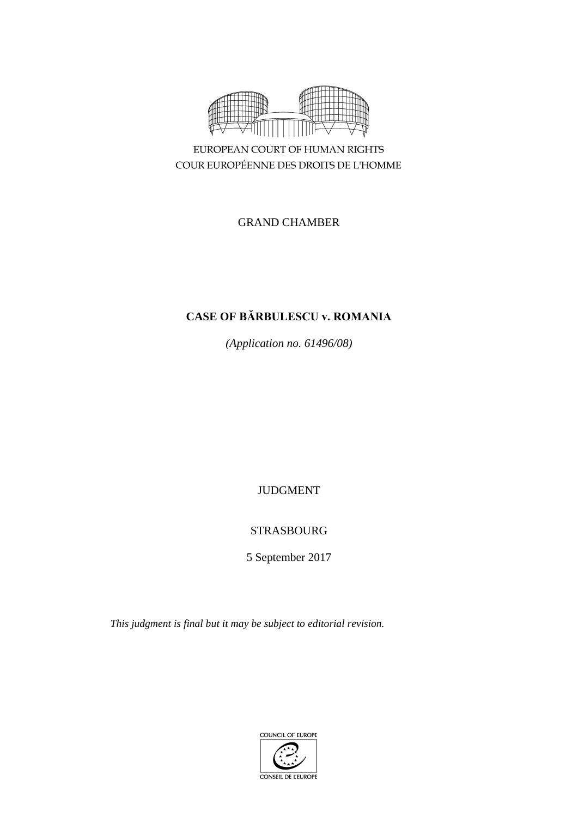

COUR EUROPÉENNE DES DROITS DE L'HOMME

# GRAND CHAMBER

# **CASE OF BĂRBULESCU v. ROMANIA**

*(Application no. 61496/08)*

JUDGMENT

# STRASBOURG

5 September 2017

*This judgment is final but it may be subject to editorial revision.*

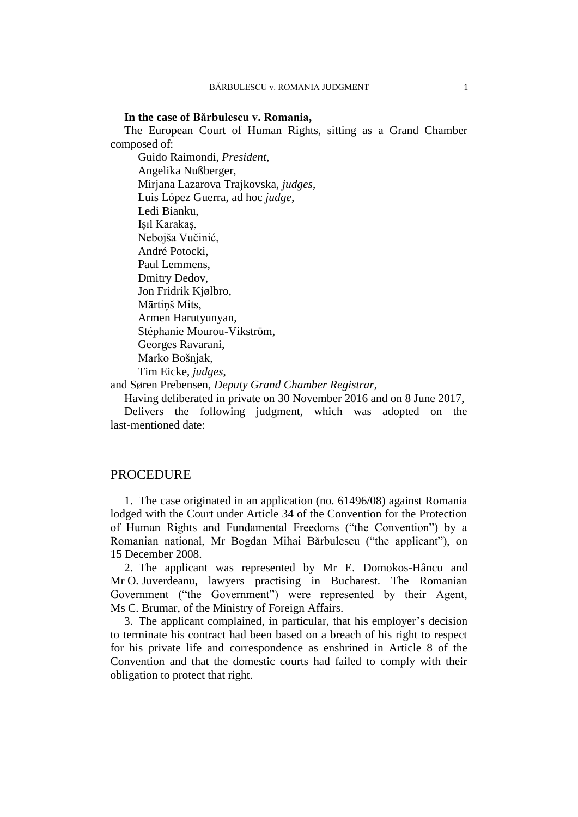## **In the case of Bărbulescu v. Romania,**

The European Court of Human Rights, sitting as a Grand Chamber composed of:

Guido Raimondi, *President*, Angelika Nußberger, Mirjana Lazarova Trajkovska, *judges*, Luis López Guerra, ad hoc *judge*, Ledi Bianku, Işıl Karakaş, Nebojša Vučinić, André Potocki, Paul Lemmens, Dmitry Dedov, Jon Fridrik Kjølbro, Mārtiņš Mits, Armen Harutyunyan, Stéphanie Mourou-Vikström, Georges Ravarani, Marko Bošnjak, Tim Eicke, *judges*,

and Søren Prebensen, *Deputy Grand Chamber Registrar*, Having deliberated in private on 30 November 2016 and on 8 June 2017,

Delivers the following judgment, which was adopted on the last-mentioned date:

## **PROCEDURE**

1. The case originated in an application (no. 61496/08) against Romania lodged with the Court under Article 34 of the Convention for the Protection of Human Rights and Fundamental Freedoms ("the Convention") by a Romanian national, Mr Bogdan Mihai Bărbulescu ("the applicant"), on 15 December 2008.

2. The applicant was represented by Mr E. Domokos-Hâncu and Mr O. Juverdeanu, lawyers practising in Bucharest. The Romanian Government ("the Government") were represented by their Agent, Ms C. Brumar, of the Ministry of Foreign Affairs.

3. The applicant complained, in particular, that his employer's decision to terminate his contract had been based on a breach of his right to respect for his private life and correspondence as enshrined in Article 8 of the Convention and that the domestic courts had failed to comply with their obligation to protect that right.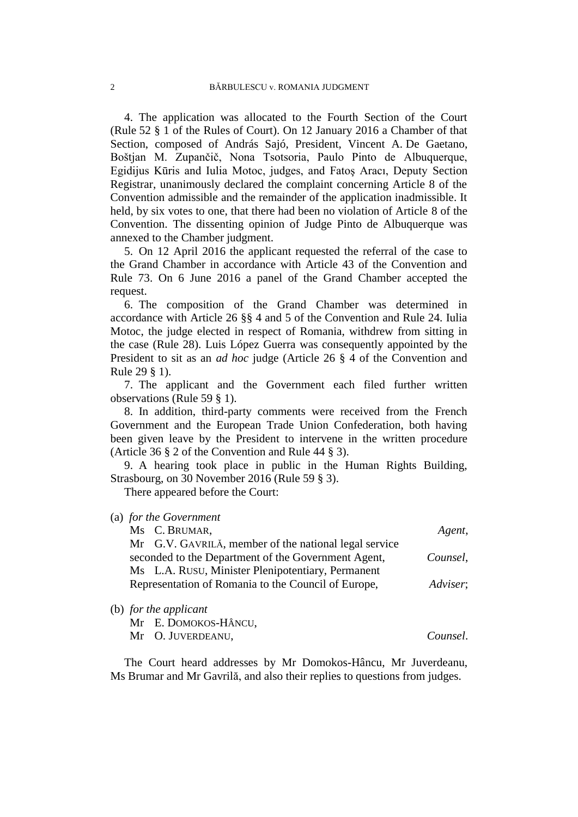4. The application was allocated to the Fourth Section of the Court (Rule 52 § 1 of the Rules of Court). On 12 January 2016 a Chamber of that Section, composed of András Sajó, President, Vincent A. De Gaetano, Boštjan M. Zupančič, Nona Tsotsoria, Paulo Pinto de Albuquerque, Egidijus Kūris and Iulia Motoc, judges, and Fatoş Aracı, Deputy Section Registrar, unanimously declared the complaint concerning Article 8 of the Convention admissible and the remainder of the application inadmissible. It held, by six votes to one, that there had been no violation of Article 8 of the Convention. The dissenting opinion of Judge Pinto de Albuquerque was annexed to the Chamber judgment.

5. On 12 April 2016 the applicant requested the referral of the case to the Grand Chamber in accordance with Article 43 of the Convention and Rule 73. On 6 June 2016 a panel of the Grand Chamber accepted the request.

6. The composition of the Grand Chamber was determined in accordance with Article 26 §§ 4 and 5 of the Convention and Rule 24. Iulia Motoc, the judge elected in respect of Romania, withdrew from sitting in the case (Rule 28). Luis López Guerra was consequently appointed by the President to sit as an *ad hoc* judge (Article 26 § 4 of the Convention and Rule 29 § 1).

7. The applicant and the Government each filed further written observations (Rule 59 § 1).

8. In addition, third-party comments were received from the French Government and the European Trade Union Confederation, both having been given leave by the President to intervene in the written procedure (Article 36 § 2 of the Convention and Rule 44 § 3).

9. A hearing took place in public in the Human Rights Building, Strasbourg, on 30 November 2016 (Rule 59 § 3).

There appeared before the Court:

|  |  |  | (a) for the Government |
|--|--|--|------------------------|
|--|--|--|------------------------|

| Ms C. BRUMAR,                                         | Agent,   |
|-------------------------------------------------------|----------|
| Mr G.V. GAVRILĂ, member of the national legal service |          |
| seconded to the Department of the Government Agent,   | Counsel, |
| Ms L.A. RUSU, Minister Plenipotentiary, Permanent     |          |
| Representation of Romania to the Council of Europe,   | Adviser; |
| (b) for the applicant                                 |          |
| Mr E. DOMOKOS-HÂNCU,                                  |          |
| Mr O. JUVERDEANU,                                     | Counsel. |

The Court heard addresses by Mr Domokos-Hâncu, Mr Juverdeanu, Ms Brumar and Mr Gavrilă, and also their replies to questions from judges.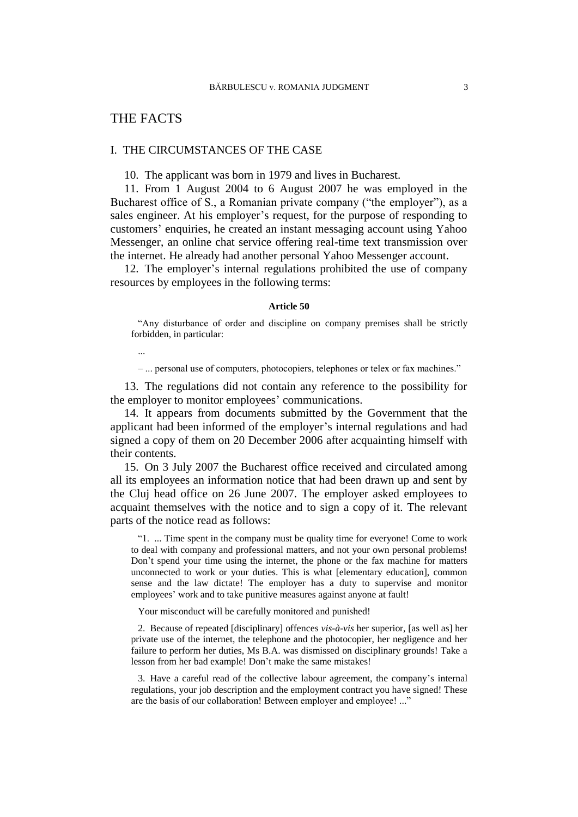## THE FACTS

...

## I. THE CIRCUMSTANCES OF THE CASE

10. The applicant was born in 1979 and lives in Bucharest.

<span id="page-4-3"></span>11. From 1 August 2004 to 6 August 2007 he was employed in the Bucharest office of S., a Romanian private company ("the employer"), as a sales engineer. At his employer's request, for the purpose of responding to customers' enquiries, he created an instant messaging account using Yahoo Messenger, an online chat service offering real-time text transmission over the internet. He already had another personal Yahoo Messenger account.

<span id="page-4-1"></span>12. The employer's internal regulations prohibited the use of company resources by employees in the following terms:

#### **Article 50**

"Any disturbance of order and discipline on company premises shall be strictly forbidden, in particular:

– ... personal use of computers, photocopiers, telephones or telex or fax machines."

13. The regulations did not contain any reference to the possibility for the employer to monitor employees' communications.

<span id="page-4-2"></span>14. It appears from documents submitted by the Government that the applicant had been informed of the employer's internal regulations and had signed a copy of them on 20 December 2006 after acquainting himself with their contents.

<span id="page-4-0"></span>15. On 3 July 2007 the Bucharest office received and circulated among all its employees an information notice that had been drawn up and sent by the Cluj head office on 26 June 2007. The employer asked employees to acquaint themselves with the notice and to sign a copy of it. The relevant parts of the notice read as follows:

"1. ... Time spent in the company must be quality time for everyone! Come to work to deal with company and professional matters, and not your own personal problems! Don't spend your time using the internet, the phone or the fax machine for matters unconnected to work or your duties. This is what [elementary education], common sense and the law dictate! The employer has a duty to supervise and monitor employees' work and to take punitive measures against anyone at fault!

Your misconduct will be carefully monitored and punished!

2. Because of repeated [disciplinary] offences *vis-à-vis* her superior, [as well as] her private use of the internet, the telephone and the photocopier, her negligence and her failure to perform her duties, Ms B.A. was dismissed on disciplinary grounds! Take a lesson from her bad example! Don't make the same mistakes!

3. Have a careful read of the collective labour agreement, the company's internal regulations, your job description and the employment contract you have signed! These are the basis of our collaboration! Between employer and employee! ..."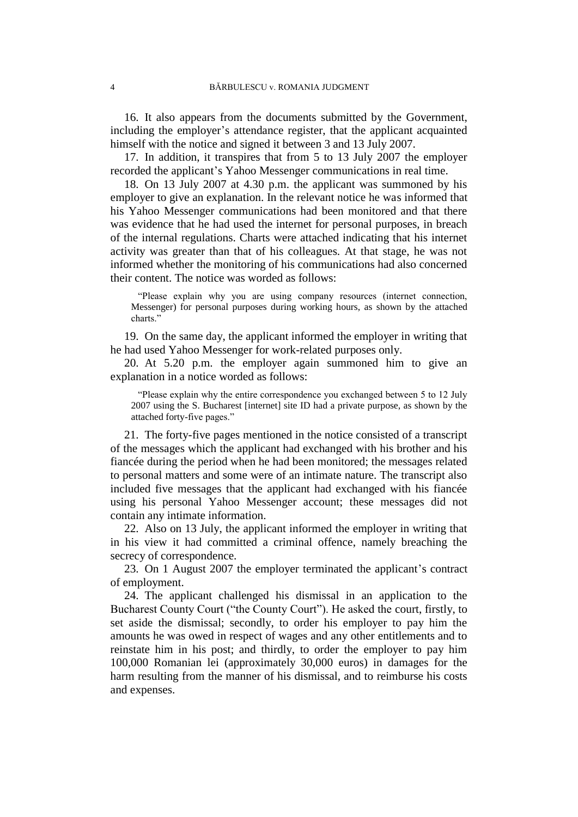<span id="page-5-4"></span>16. It also appears from the documents submitted by the Government, including the employer's attendance register, that the applicant acquainted himself with the notice and signed it between 3 and 13 July 2007.

<span id="page-5-0"></span>17. In addition, it transpires that from 5 to 13 July 2007 the employer recorded the applicant's Yahoo Messenger communications in real time.

<span id="page-5-1"></span>18. On 13 July 2007 at 4.30 p.m. the applicant was summoned by his employer to give an explanation. In the relevant notice he was informed that his Yahoo Messenger communications had been monitored and that there was evidence that he had used the internet for personal purposes, in breach of the internal regulations. Charts were attached indicating that his internet activity was greater than that of his colleagues. At that stage, he was not informed whether the monitoring of his communications had also concerned their content. The notice was worded as follows:

"Please explain why you are using company resources (internet connection, Messenger) for personal purposes during working hours, as shown by the attached charts."

<span id="page-5-5"></span>19. On the same day, the applicant informed the employer in writing that he had used Yahoo Messenger for work-related purposes only.

<span id="page-5-2"></span>20. At 5.20 p.m. the employer again summoned him to give an explanation in a notice worded as follows:

"Please explain why the entire correspondence you exchanged between 5 to 12 July 2007 using the S. Bucharest [internet] site ID had a private purpose, as shown by the attached forty-five pages."

<span id="page-5-3"></span>21. The forty-five pages mentioned in the notice consisted of a transcript of the messages which the applicant had exchanged with his brother and his fiancée during the period when he had been monitored; the messages related to personal matters and some were of an intimate nature. The transcript also included five messages that the applicant had exchanged with his fiancée using his personal Yahoo Messenger account; these messages did not contain any intimate information.

<span id="page-5-6"></span>22. Also on 13 July, the applicant informed the employer in writing that in his view it had committed a criminal offence, namely breaching the secrecy of correspondence.

23. On 1 August 2007 the employer terminated the applicant's contract of employment.

24. The applicant challenged his dismissal in an application to the Bucharest County Court ("the County Court"). He asked the court, firstly, to set aside the dismissal; secondly, to order his employer to pay him the amounts he was owed in respect of wages and any other entitlements and to reinstate him in his post; and thirdly, to order the employer to pay him 100,000 Romanian lei (approximately 30,000 euros) in damages for the harm resulting from the manner of his dismissal, and to reimburse his costs and expenses.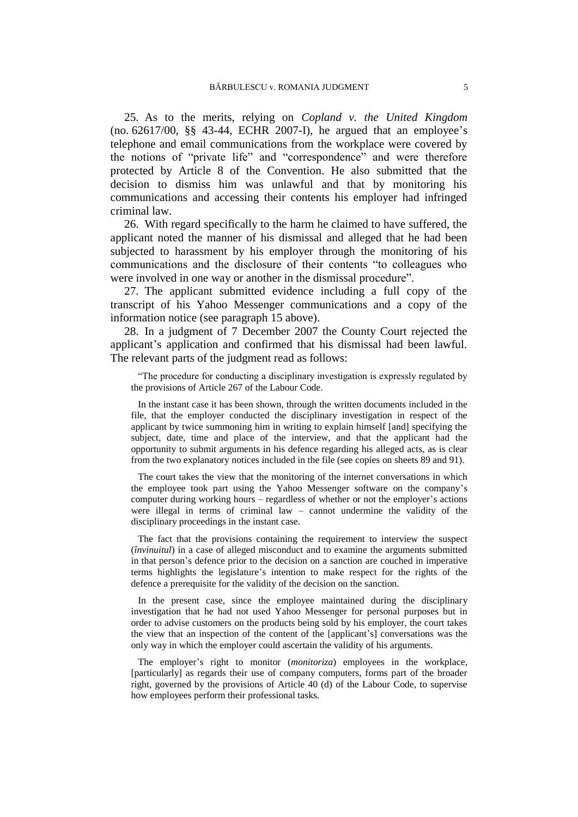25. As to the merits, relying on *Copland v. the United Kingdom* (no. 62617/00, §§ 43-44, ECHR 2007-I), he argued that an employee's telephone and email communications from the workplace were covered by the notions of "private life" and "correspondence" and were therefore protected by Article 8 of the Convention. He also submitted that the decision to dismiss him was unlawful and that by monitoring his communications and accessing their contents his employer had infringed criminal law.

<span id="page-6-1"></span>26. With regard specifically to the harm he claimed to have suffered, the applicant noted the manner of his dismissal and alleged that he had been subjected to harassment by his employer through the monitoring of his communications and the disclosure of their contents "to colleagues who were involved in one way or another in the dismissal procedure".

27. The applicant submitted evidence including a full copy of the transcript of his Yahoo Messenger communications and a copy of the information notice (see paragraph [15](#page-4-0) above).

<span id="page-6-0"></span>28. In a judgment of 7 December 2007 the County Court rejected the applicant's application and confirmed that his dismissal had been lawful. The relevant parts of the judgment read as follows:

"The procedure for conducting a disciplinary investigation is expressly regulated by the provisions of Article 267 of the Labour Code.

In the instant case it has been shown, through the written documents included in the file, that the employer conducted the disciplinary investigation in respect of the applicant by twice summoning him in writing to explain himself [and] specifying the subject, date, time and place of the interview, and that the applicant had the opportunity to submit arguments in his defence regarding his alleged acts, as is clear from the two explanatory notices included in the file (see copies on sheets 89 and 91).

The court takes the view that the monitoring of the internet conversations in which the employee took part using the Yahoo Messenger software on the company's computer during working hours – regardless of whether or not the employer's actions were illegal in terms of criminal law – cannot undermine the validity of the disciplinary proceedings in the instant case.

The fact that the provisions containing the requirement to interview the suspect (*învinuitul*) in a case of alleged misconduct and to examine the arguments submitted in that person's defence prior to the decision on a sanction are couched in imperative terms highlights the legislature's intention to make respect for the rights of the defence a prerequisite for the validity of the decision on the sanction.

In the present case, since the employee maintained during the disciplinary investigation that he had not used Yahoo Messenger for personal purposes but in order to advise customers on the products being sold by his employer, the court takes the view that an inspection of the content of the [applicant's] conversations was the only way in which the employer could ascertain the validity of his arguments.

The employer's right to monitor (*monitoriza*) employees in the workplace, [particularly] as regards their use of company computers, forms part of the broader right, governed by the provisions of Article 40 (d) of the Labour Code, to supervise how employees perform their professional tasks.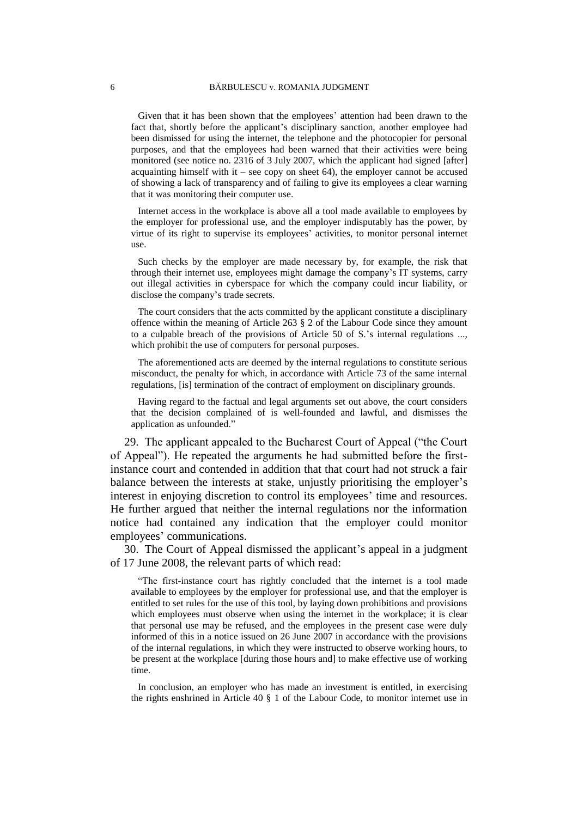Given that it has been shown that the employees' attention had been drawn to the fact that, shortly before the applicant's disciplinary sanction, another employee had been dismissed for using the internet, the telephone and the photocopier for personal purposes, and that the employees had been warned that their activities were being monitored (see notice no. 2316 of 3 July 2007, which the applicant had signed [after] acquainting himself with it – see copy on sheet  $64$ ), the employer cannot be accused of showing a lack of transparency and of failing to give its employees a clear warning that it was monitoring their computer use.

Internet access in the workplace is above all a tool made available to employees by the employer for professional use, and the employer indisputably has the power, by virtue of its right to supervise its employees' activities, to monitor personal internet use.

Such checks by the employer are made necessary by, for example, the risk that through their internet use, employees might damage the company's IT systems, carry out illegal activities in cyberspace for which the company could incur liability, or disclose the company's trade secrets.

The court considers that the acts committed by the applicant constitute a disciplinary offence within the meaning of Article 263 § 2 of the Labour Code since they amount to a culpable breach of the provisions of Article 50 of S.'s internal regulations ..., which prohibit the use of computers for personal purposes.

The aforementioned acts are deemed by the internal regulations to constitute serious misconduct, the penalty for which, in accordance with Article 73 of the same internal regulations, [is] termination of the contract of employment on disciplinary grounds.

Having regard to the factual and legal arguments set out above, the court considers that the decision complained of is well-founded and lawful, and dismisses the application as unfounded."

29. The applicant appealed to the Bucharest Court of Appeal ("the Court of Appeal"). He repeated the arguments he had submitted before the firstinstance court and contended in addition that that court had not struck a fair balance between the interests at stake, unjustly prioritising the employer's interest in enjoying discretion to control its employees' time and resources. He further argued that neither the internal regulations nor the information notice had contained any indication that the employer could monitor employees' communications.

<span id="page-7-0"></span>30. The Court of Appeal dismissed the applicant's appeal in a judgment of 17 June 2008, the relevant parts of which read:

"The first-instance court has rightly concluded that the internet is a tool made available to employees by the employer for professional use, and that the employer is entitled to set rules for the use of this tool, by laying down prohibitions and provisions which employees must observe when using the internet in the workplace; it is clear that personal use may be refused, and the employees in the present case were duly informed of this in a notice issued on 26 June 2007 in accordance with the provisions of the internal regulations, in which they were instructed to observe working hours, to be present at the workplace [during those hours and] to make effective use of working time.

In conclusion, an employer who has made an investment is entitled, in exercising the rights enshrined in Article 40 § 1 of the Labour Code, to monitor internet use in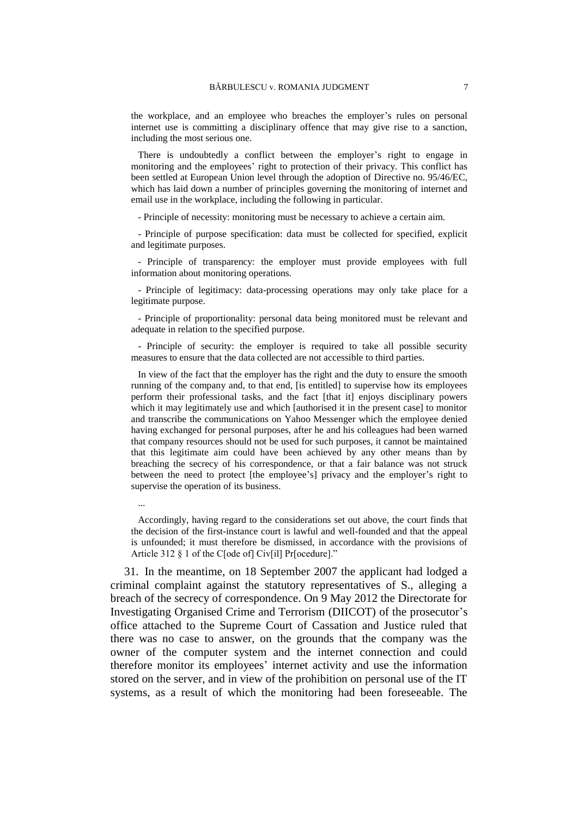the workplace, and an employee who breaches the employer's rules on personal internet use is committing a disciplinary offence that may give rise to a sanction, including the most serious one.

There is undoubtedly a conflict between the employer's right to engage in monitoring and the employees' right to protection of their privacy. This conflict has been settled at European Union level through the adoption of Directive no. 95/46/EC, which has laid down a number of principles governing the monitoring of internet and email use in the workplace, including the following in particular.

- Principle of necessity: monitoring must be necessary to achieve a certain aim.

- Principle of purpose specification: data must be collected for specified, explicit and legitimate purposes.

- Principle of transparency: the employer must provide employees with full information about monitoring operations.

- Principle of legitimacy: data-processing operations may only take place for a legitimate purpose.

- Principle of proportionality: personal data being monitored must be relevant and adequate in relation to the specified purpose.

- Principle of security: the employer is required to take all possible security measures to ensure that the data collected are not accessible to third parties.

In view of the fact that the employer has the right and the duty to ensure the smooth running of the company and, to that end, [is entitled] to supervise how its employees perform their professional tasks, and the fact [that it] enjoys disciplinary powers which it may legitimately use and which [authorised it in the present case] to monitor and transcribe the communications on Yahoo Messenger which the employee denied having exchanged for personal purposes, after he and his colleagues had been warned that company resources should not be used for such purposes, it cannot be maintained that this legitimate aim could have been achieved by any other means than by breaching the secrecy of his correspondence, or that a fair balance was not struck between the need to protect [the employee's] privacy and the employer's right to supervise the operation of its business.

Accordingly, having regard to the considerations set out above, the court finds that the decision of the first-instance court is lawful and well-founded and that the appeal is unfounded; it must therefore be dismissed, in accordance with the provisions of Article 312 § 1 of the C[ode of] Civ[il] Pr[ocedure]."

...

31. In the meantime, on 18 September 2007 the applicant had lodged a criminal complaint against the statutory representatives of S., alleging a breach of the secrecy of correspondence. On 9 May 2012 the Directorate for Investigating Organised Crime and Terrorism (DIICOT) of the prosecutor's office attached to the Supreme Court of Cassation and Justice ruled that there was no case to answer, on the grounds that the company was the owner of the computer system and the internet connection and could therefore monitor its employees' internet activity and use the information stored on the server, and in view of the prohibition on personal use of the IT systems, as a result of which the monitoring had been foreseeable. The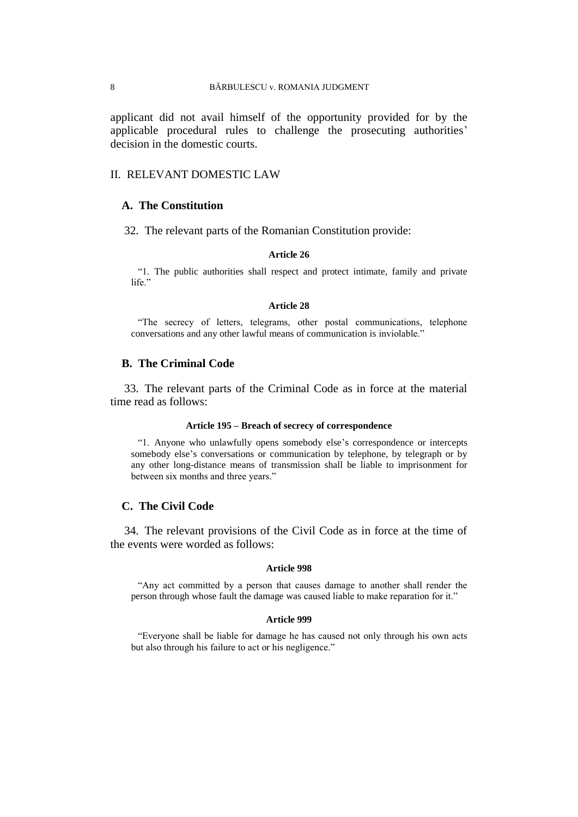applicant did not avail himself of the opportunity provided for by the applicable procedural rules to challenge the prosecuting authorities' decision in the domestic courts.

## II. RELEVANT DOMESTIC LAW

## **A. The Constitution**

32. The relevant parts of the Romanian Constitution provide:

#### **Article 26**

"1. The public authorities shall respect and protect intimate, family and private life."

#### **Article 28**

"The secrecy of letters, telegrams, other postal communications, telephone conversations and any other lawful means of communication is inviolable."

## **B. The Criminal Code**

33. The relevant parts of the Criminal Code as in force at the material time read as follows:

#### **Article 195 – Breach of secrecy of correspondence**

"1. Anyone who unlawfully opens somebody else's correspondence or intercepts somebody else's conversations or communication by telephone, by telegraph or by any other long-distance means of transmission shall be liable to imprisonment for between six months and three years."

## **C. The Civil Code**

34. The relevant provisions of the Civil Code as in force at the time of the events were worded as follows:

#### **Article 998**

"Any act committed by a person that causes damage to another shall render the person through whose fault the damage was caused liable to make reparation for it."

#### **Article 999**

"Everyone shall be liable for damage he has caused not only through his own acts but also through his failure to act or his negligence."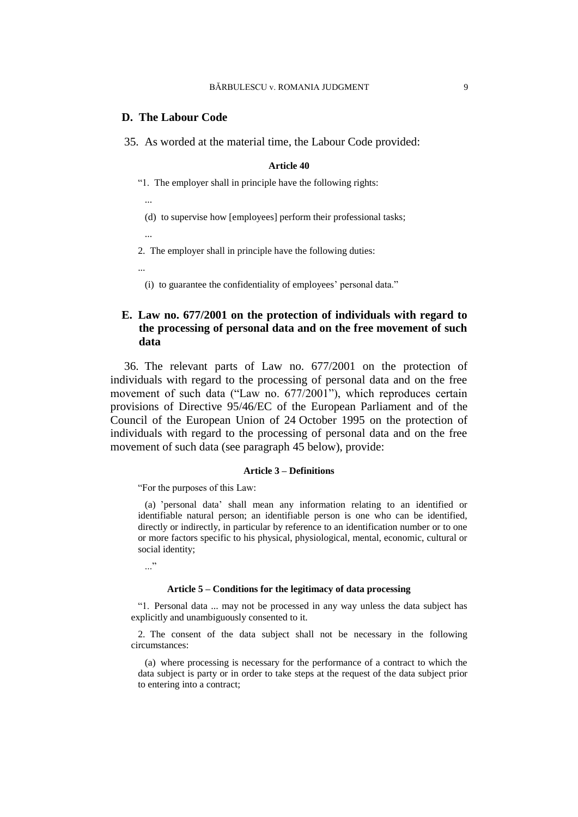## **D. The Labour Code**

...

...

...

35. As worded at the material time, the Labour Code provided:

#### **Article 40**

"1. The employer shall in principle have the following rights:

(d) to supervise how [employees] perform their professional tasks;

2. The employer shall in principle have the following duties:

(i) to guarantee the confidentiality of employees' personal data."

## **E. Law no. 677/2001 on the protection of individuals with regard to the processing of personal data and on the free movement of such data**

36. The relevant parts of Law no. 677/2001 on the protection of individuals with regard to the processing of personal data and on the free movement of such data ("Law no. 677/2001"), which reproduces certain provisions of Directive 95/46/EC of the European Parliament and of the Council of the European Union of 24 October 1995 on the protection of individuals with regard to the processing of personal data and on the free movement of such data (see paragraph [45](#page-17-0) below), provide:

#### **Article 3 – Definitions**

"For the purposes of this Law:

(a) 'personal data' shall mean any information relating to an identified or identifiable natural person; an identifiable person is one who can be identified, directly or indirectly, in particular by reference to an identification number or to one or more factors specific to his physical, physiological, mental, economic, cultural or social identity;

..."

#### **Article 5 – Conditions for the legitimacy of data processing**

"1. Personal data ... may not be processed in any way unless the data subject has explicitly and unambiguously consented to it.

2. The consent of the data subject shall not be necessary in the following circumstances:

(a) where processing is necessary for the performance of a contract to which the data subject is party or in order to take steps at the request of the data subject prior to entering into a contract;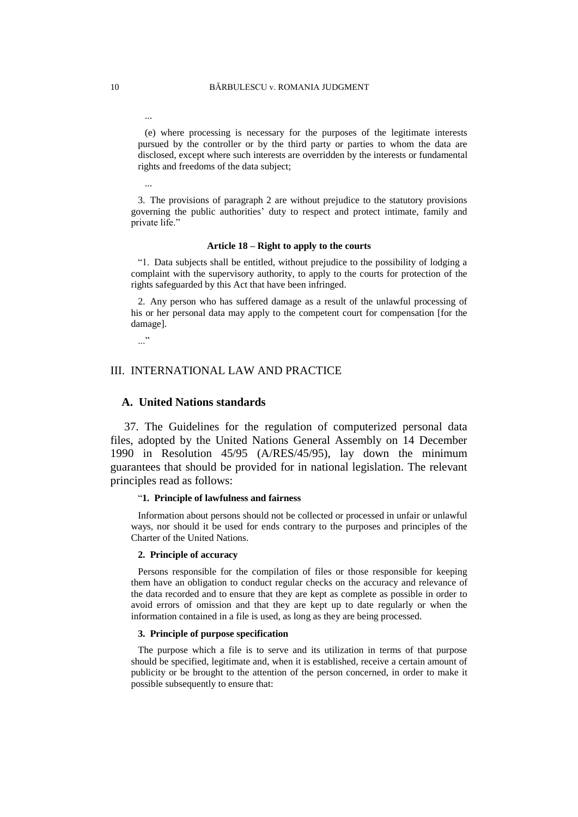(e) where processing is necessary for the purposes of the legitimate interests pursued by the controller or by the third party or parties to whom the data are disclosed, except where such interests are overridden by the interests or fundamental rights and freedoms of the data subject;

3. The provisions of paragraph 2 are without prejudice to the statutory provisions governing the public authorities' duty to respect and protect intimate, family and private life."

#### **Article 18 – Right to apply to the courts**

"1. Data subjects shall be entitled, without prejudice to the possibility of lodging a complaint with the supervisory authority, to apply to the courts for protection of the rights safeguarded by this Act that have been infringed.

2. Any person who has suffered damage as a result of the unlawful processing of his or her personal data may apply to the competent court for compensation [for the damage].

..."

## III. INTERNATIONAL LAW AND PRACTICE

## **A. United Nations standards**

37. The Guidelines for the regulation of computerized personal data files, adopted by the United Nations General Assembly on 14 December 1990 in Resolution 45/95 (A/RES/45/95), lay down the minimum guarantees that should be provided for in national legislation. The relevant principles read as follows:

#### "**1. Principle of lawfulness and fairness**

Information about persons should not be collected or processed in unfair or unlawful ways, nor should it be used for ends contrary to the purposes and principles of the Charter of the United Nations.

#### **2. Principle of accuracy**

Persons responsible for the compilation of files or those responsible for keeping them have an obligation to conduct regular checks on the accuracy and relevance of the data recorded and to ensure that they are kept as complete as possible in order to avoid errors of omission and that they are kept up to date regularly or when the information contained in a file is used, as long as they are being processed.

#### **3. Principle of purpose specification**

The purpose which a file is to serve and its utilization in terms of that purpose should be specified, legitimate and, when it is established, receive a certain amount of publicity or be brought to the attention of the person concerned, in order to make it possible subsequently to ensure that:

...

...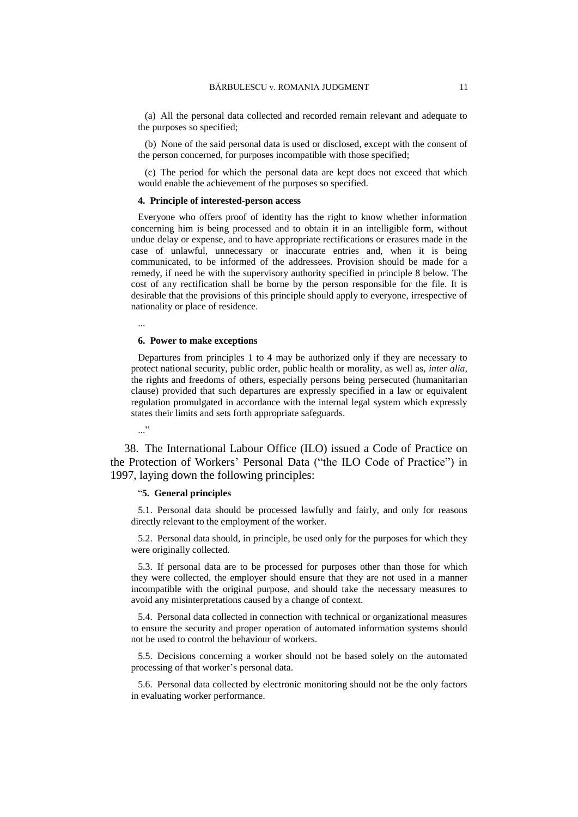(a) All the personal data collected and recorded remain relevant and adequate to the purposes so specified;

(b) None of the said personal data is used or disclosed, except with the consent of the person concerned, for purposes incompatible with those specified;

(c) The period for which the personal data are kept does not exceed that which would enable the achievement of the purposes so specified.

#### **4. Principle of interested-person access**

Everyone who offers proof of identity has the right to know whether information concerning him is being processed and to obtain it in an intelligible form, without undue delay or expense, and to have appropriate rectifications or erasures made in the case of unlawful, unnecessary or inaccurate entries and, when it is being communicated, to be informed of the addressees. Provision should be made for a remedy, if need be with the supervisory authority specified in principle 8 below. The cost of any rectification shall be borne by the person responsible for the file. It is desirable that the provisions of this principle should apply to everyone, irrespective of nationality or place of residence.

...

#### **6. Power to make exceptions**

Departures from principles 1 to 4 may be authorized only if they are necessary to protect national security, public order, public health or morality, as well as, *inter alia*, the rights and freedoms of others, especially persons being persecuted (humanitarian clause) provided that such departures are expressly specified in a law or equivalent regulation promulgated in accordance with the internal legal system which expressly states their limits and sets forth appropriate safeguards.

 $\cdot$  ..."

<span id="page-12-0"></span>38. The International Labour Office (ILO) issued a Code of Practice on the Protection of Workers' Personal Data ("the ILO Code of Practice") in 1997, laying down the following principles:

#### "**5. General principles**

5.1. Personal data should be processed lawfully and fairly, and only for reasons directly relevant to the employment of the worker.

5.2. Personal data should, in principle, be used only for the purposes for which they were originally collected.

5.3. If personal data are to be processed for purposes other than those for which they were collected, the employer should ensure that they are not used in a manner incompatible with the original purpose, and should take the necessary measures to avoid any misinterpretations caused by a change of context.

5.4. Personal data collected in connection with technical or organizational measures to ensure the security and proper operation of automated information systems should not be used to control the behaviour of workers.

5.5. Decisions concerning a worker should not be based solely on the automated processing of that worker's personal data.

5.6. Personal data collected by electronic monitoring should not be the only factors in evaluating worker performance.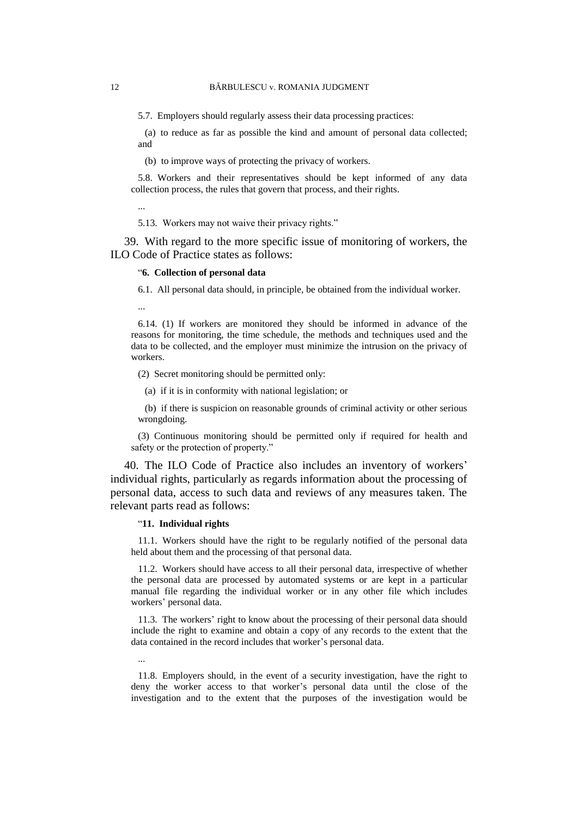5.7. Employers should regularly assess their data processing practices:

(a) to reduce as far as possible the kind and amount of personal data collected; and

(b) to improve ways of protecting the privacy of workers.

5.8. Workers and their representatives should be kept informed of any data collection process, the rules that govern that process, and their rights.

...

5.13. Workers may not waive their privacy rights."

39. With regard to the more specific issue of monitoring of workers, the ILO Code of Practice states as follows:

#### "**6. Collection of personal data**

6.1. All personal data should, in principle, be obtained from the individual worker.

...

6.14. (1) If workers are monitored they should be informed in advance of the reasons for monitoring, the time schedule, the methods and techniques used and the data to be collected, and the employer must minimize the intrusion on the privacy of workers.

(2) Secret monitoring should be permitted only:

(a) if it is in conformity with national legislation; or

(b) if there is suspicion on reasonable grounds of criminal activity or other serious wrongdoing.

(3) Continuous monitoring should be permitted only if required for health and safety or the protection of property."

40. The ILO Code of Practice also includes an inventory of workers' individual rights, particularly as regards information about the processing of personal data, access to such data and reviews of any measures taken. The relevant parts read as follows:

#### "**11. Individual rights**

11.1. Workers should have the right to be regularly notified of the personal data held about them and the processing of that personal data.

11.2. Workers should have access to all their personal data, irrespective of whether the personal data are processed by automated systems or are kept in a particular manual file regarding the individual worker or in any other file which includes workers' personal data.

11.3. The workers' right to know about the processing of their personal data should include the right to examine and obtain a copy of any records to the extent that the data contained in the record includes that worker's personal data.

...

11.8. Employers should, in the event of a security investigation, have the right to deny the worker access to that worker's personal data until the close of the investigation and to the extent that the purposes of the investigation would be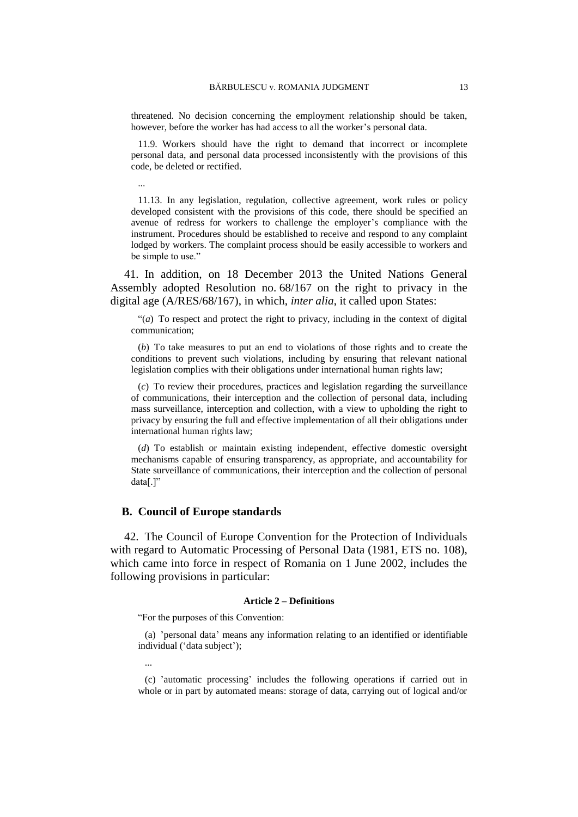threatened. No decision concerning the employment relationship should be taken, however, before the worker has had access to all the worker's personal data.

11.9. Workers should have the right to demand that incorrect or incomplete personal data, and personal data processed inconsistently with the provisions of this code, be deleted or rectified.

11.13. In any legislation, regulation, collective agreement, work rules or policy developed consistent with the provisions of this code, there should be specified an avenue of redress for workers to challenge the employer's compliance with the instrument. Procedures should be established to receive and respond to any complaint lodged by workers. The complaint process should be easily accessible to workers and be simple to use."

41. In addition, on 18 December 2013 the United Nations General Assembly adopted Resolution no. 68/167 on the right to privacy in the digital age (A/RES/68/167), in which, *inter alia*, it called upon States:

"(*a*) To respect and protect the right to privacy, including in the context of digital communication;

(*b*) To take measures to put an end to violations of those rights and to create the conditions to prevent such violations, including by ensuring that relevant national legislation complies with their obligations under international human rights law;

(*c*) To review their procedures, practices and legislation regarding the surveillance of communications, their interception and the collection of personal data, including mass surveillance, interception and collection, with a view to upholding the right to privacy by ensuring the full and effective implementation of all their obligations under international human rights law;

(*d*) To establish or maintain existing independent, effective domestic oversight mechanisms capable of ensuring transparency, as appropriate, and accountability for State surveillance of communications, their interception and the collection of personal data[.]"

#### **B. Council of Europe standards**

...

42. The Council of Europe Convention for the Protection of Individuals with regard to Automatic Processing of Personal Data (1981, ETS no. 108), which came into force in respect of Romania on 1 June 2002, includes the following provisions in particular:

#### **Article 2 – Definitions**

"For the purposes of this Convention:

...

(a) 'personal data' means any information relating to an identified or identifiable individual ('data subject');

(c) 'automatic processing' includes the following operations if carried out in whole or in part by automated means: storage of data, carrying out of logical and/or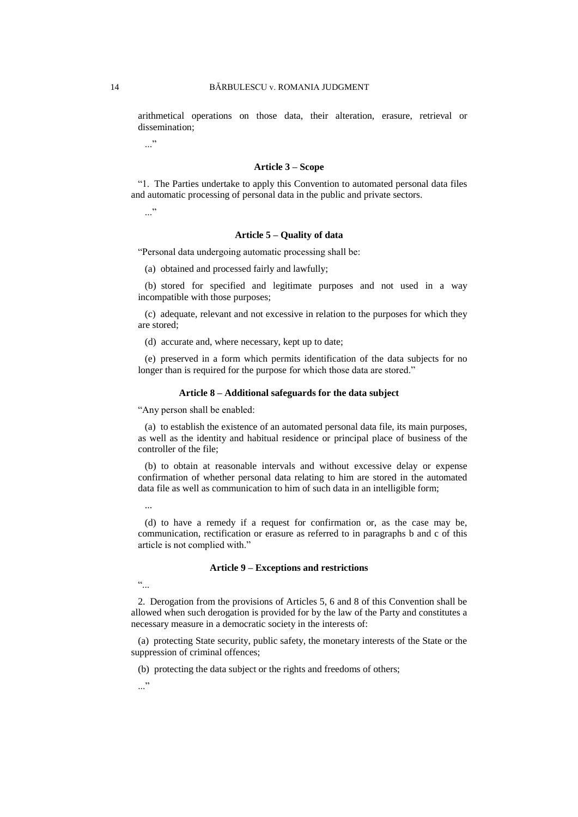arithmetical operations on those data, their alteration, erasure, retrieval or dissemination;

..."

#### **Article 3 – Scope**

"1. The Parties undertake to apply this Convention to automated personal data files and automatic processing of personal data in the public and private sectors.

..."

#### **Article 5 – Quality of data**

"Personal data undergoing automatic processing shall be:

(a) obtained and processed fairly and lawfully;

(b) stored for specified and legitimate purposes and not used in a way incompatible with those purposes;

(c) adequate, relevant and not excessive in relation to the purposes for which they are stored;

(d) accurate and, where necessary, kept up to date;

(e) preserved in a form which permits identification of the data subjects for no longer than is required for the purpose for which those data are stored."

#### **Article 8 – Additional safeguards for the data subject**

"Any person shall be enabled:

(a) to establish the existence of an automated personal data file, its main purposes, as well as the identity and habitual residence or principal place of business of the controller of the file;

(b) to obtain at reasonable intervals and without excessive delay or expense confirmation of whether personal data relating to him are stored in the automated data file as well as communication to him of such data in an intelligible form;

(d) to have a remedy if a request for confirmation or, as the case may be, communication, rectification or erasure as referred to in paragraphs b and c of this article is not complied with."

#### **Article 9 – Exceptions and restrictions**

 $\ddot{\cdot}$ 

...

2. Derogation from the provisions of Articles 5, 6 and 8 of this Convention shall be allowed when such derogation is provided for by the law of the Party and constitutes a necessary measure in a democratic society in the interests of:

(a) protecting State security, public safety, the monetary interests of the State or the suppression of criminal offences;

(b) protecting the data subject or the rights and freedoms of others;

 $\cdot$ ..."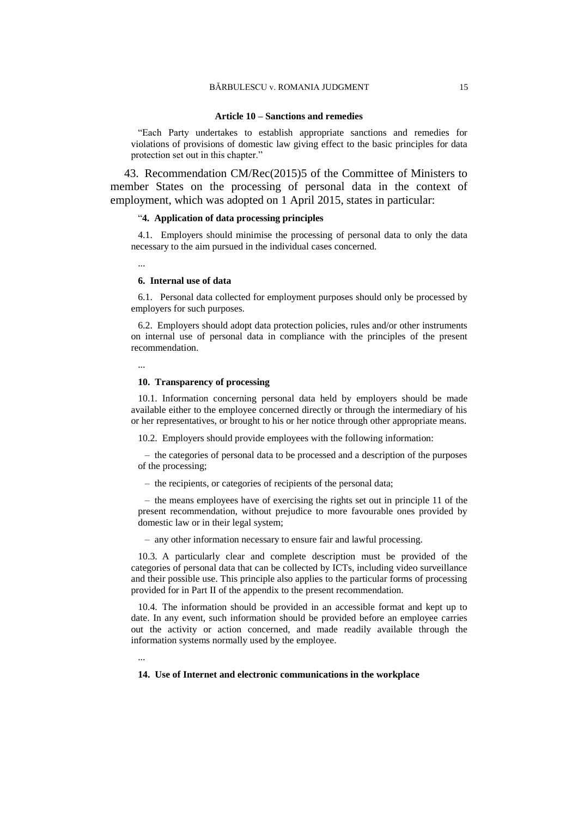#### **Article 10 – Sanctions and remedies**

"Each Party undertakes to establish appropriate sanctions and remedies for violations of provisions of domestic law giving effect to the basic principles for data protection set out in this chapter."

<span id="page-16-0"></span>43. Recommendation CM/Rec(2015)5 of the Committee of Ministers to member States on the processing of personal data in the context of employment, which was adopted on 1 April 2015, states in particular:

### "**4. Application of data processing principles**

4.1. Employers should minimise the processing of personal data to only the data necessary to the aim pursued in the individual cases concerned.

...

#### **6. Internal use of data**

6.1. Personal data collected for employment purposes should only be processed by employers for such purposes.

6.2. Employers should adopt data protection policies, rules and/or other instruments on internal use of personal data in compliance with the principles of the present recommendation.

...

### **10. Transparency of processing**

10.1. Information concerning personal data held by employers should be made available either to the employee concerned directly or through the intermediary of his or her representatives, or brought to his or her notice through other appropriate means.

10.2. Employers should provide employees with the following information:

– the categories of personal data to be processed and a description of the purposes of the processing;

– the recipients, or categories of recipients of the personal data;

– the means employees have of exercising the rights set out in principle 11 of the present recommendation, without prejudice to more favourable ones provided by domestic law or in their legal system;

– any other information necessary to ensure fair and lawful processing.

10.3. A particularly clear and complete description must be provided of the categories of personal data that can be collected by ICTs, including video surveillance and their possible use. This principle also applies to the particular forms of processing provided for in Part II of the appendix to the present recommendation.

10.4. The information should be provided in an accessible format and kept up to date. In any event, such information should be provided before an employee carries out the activity or action concerned, and made readily available through the information systems normally used by the employee.

...

#### **14. Use of Internet and electronic communications in the workplace**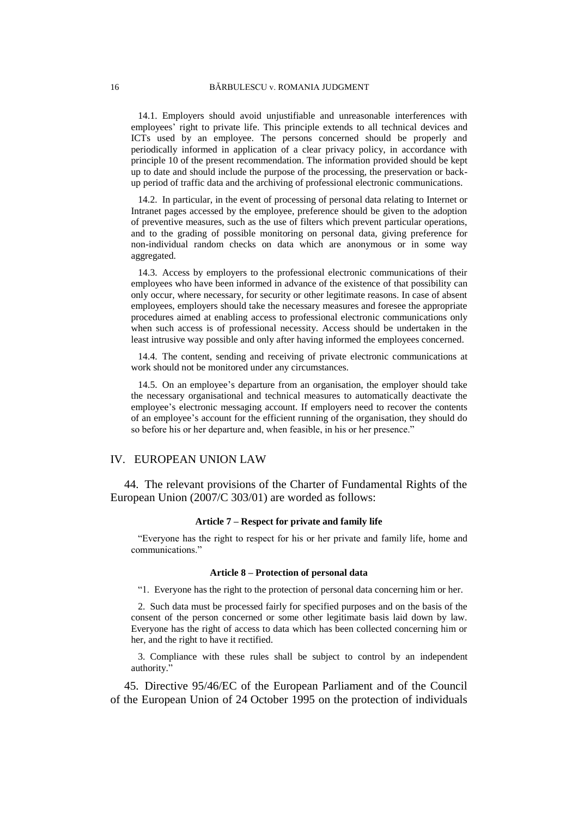14.1. Employers should avoid unjustifiable and unreasonable interferences with employees' right to private life. This principle extends to all technical devices and ICTs used by an employee. The persons concerned should be properly and periodically informed in application of a clear privacy policy, in accordance with principle 10 of the present recommendation. The information provided should be kept up to date and should include the purpose of the processing, the preservation or backup period of traffic data and the archiving of professional electronic communications.

14.2. In particular, in the event of processing of personal data relating to Internet or Intranet pages accessed by the employee, preference should be given to the adoption of preventive measures, such as the use of filters which prevent particular operations, and to the grading of possible monitoring on personal data, giving preference for non-individual random checks on data which are anonymous or in some way aggregated.

14.3. Access by employers to the professional electronic communications of their employees who have been informed in advance of the existence of that possibility can only occur, where necessary, for security or other legitimate reasons. In case of absent employees, employers should take the necessary measures and foresee the appropriate procedures aimed at enabling access to professional electronic communications only when such access is of professional necessity. Access should be undertaken in the least intrusive way possible and only after having informed the employees concerned.

14.4. The content, sending and receiving of private electronic communications at work should not be monitored under any circumstances.

14.5. On an employee's departure from an organisation, the employer should take the necessary organisational and technical measures to automatically deactivate the employee's electronic messaging account. If employers need to recover the contents of an employee's account for the efficient running of the organisation, they should do so before his or her departure and, when feasible, in his or her presence."

## IV. EUROPEAN UNION LAW

44. The relevant provisions of the Charter of Fundamental Rights of the European Union (2007/C 303/01) are worded as follows:

#### **Article 7 – Respect for private and family life**

"Everyone has the right to respect for his or her private and family life, home and communications."

#### **Article 8 – Protection of personal data**

"1. Everyone has the right to the protection of personal data concerning him or her.

2. Such data must be processed fairly for specified purposes and on the basis of the consent of the person concerned or some other legitimate basis laid down by law. Everyone has the right of access to data which has been collected concerning him or her, and the right to have it rectified.

3. Compliance with these rules shall be subject to control by an independent authority."

<span id="page-17-0"></span>45. Directive 95/46/EC of the European Parliament and of the Council of the European Union of 24 October 1995 on the protection of individuals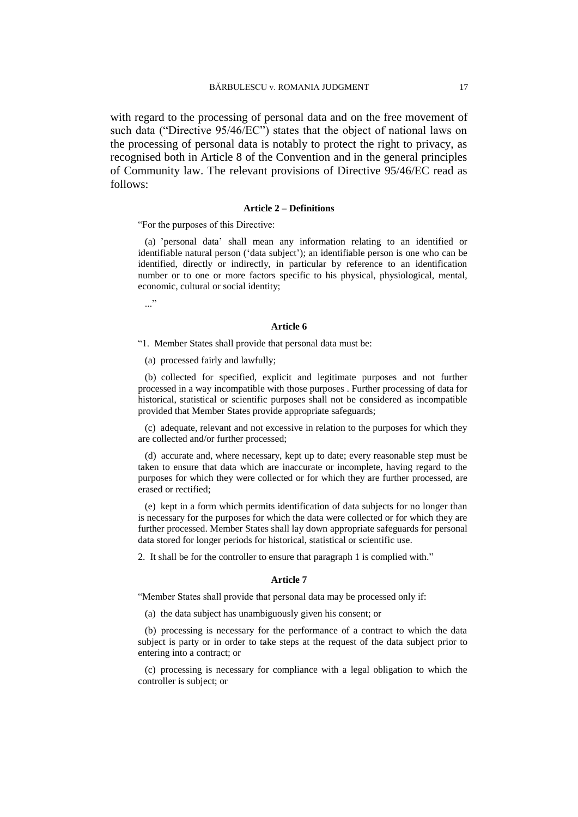with regard to the processing of personal data and on the free movement of such data ("Directive 95/46/EC") states that the object of national laws on the processing of personal data is notably to protect the right to privacy, as recognised both in Article 8 of the Convention and in the general principles of Community law. The relevant provisions of Directive 95/46/EC read as follows:

#### **Article 2 – Definitions**

"For the purposes of this Directive:

(a) 'personal data' shall mean any information relating to an identified or identifiable natural person ('data subject'); an identifiable person is one who can be identified, directly or indirectly, in particular by reference to an identification number or to one or more factors specific to his physical, physiological, mental, economic, cultural or social identity;

..."

#### **Article 6**

"1. Member States shall provide that personal data must be:

(a) processed fairly and lawfully;

(b) collected for specified, explicit and legitimate purposes and not further processed in a way incompatible with those purposes . Further processing of data for historical, statistical or scientific purposes shall not be considered as incompatible provided that Member States provide appropriate safeguards;

(c) adequate, relevant and not excessive in relation to the purposes for which they are collected and/or further processed;

(d) accurate and, where necessary, kept up to date; every reasonable step must be taken to ensure that data which are inaccurate or incomplete, having regard to the purposes for which they were collected or for which they are further processed, are erased or rectified;

(e) kept in a form which permits identification of data subjects for no longer than is necessary for the purposes for which the data were collected or for which they are further processed. Member States shall lay down appropriate safeguards for personal data stored for longer periods for historical, statistical or scientific use.

2. It shall be for the controller to ensure that paragraph 1 is complied with."

#### **Article 7**

"Member States shall provide that personal data may be processed only if:

(a) the data subject has unambiguously given his consent; or

(b) processing is necessary for the performance of a contract to which the data subject is party or in order to take steps at the request of the data subject prior to entering into a contract; or

(c) processing is necessary for compliance with a legal obligation to which the controller is subject; or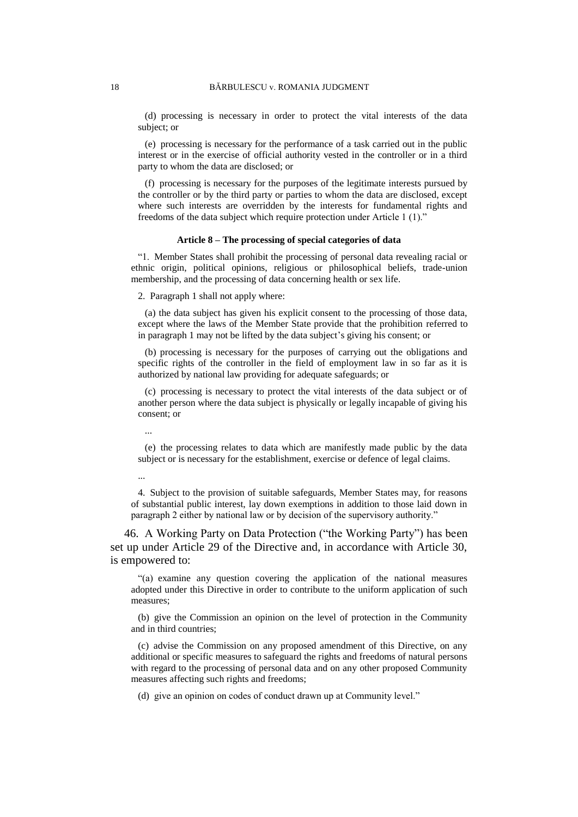(d) processing is necessary in order to protect the vital interests of the data subject; or

(e) processing is necessary for the performance of a task carried out in the public interest or in the exercise of official authority vested in the controller or in a third party to whom the data are disclosed; or

(f) processing is necessary for the purposes of the legitimate interests pursued by the controller or by the third party or parties to whom the data are disclosed, except where such interests are overridden by the interests for fundamental rights and freedoms of the data subject which require protection under Article 1 (1)."

#### **Article 8 – The processing of special categories of data**

"1. Member States shall prohibit the processing of personal data revealing racial or ethnic origin, political opinions, religious or philosophical beliefs, trade-union membership, and the processing of data concerning health or sex life.

2. Paragraph 1 shall not apply where:

(a) the data subject has given his explicit consent to the processing of those data, except where the laws of the Member State provide that the prohibition referred to in paragraph 1 may not be lifted by the data subject's giving his consent; or

(b) processing is necessary for the purposes of carrying out the obligations and specific rights of the controller in the field of employment law in so far as it is authorized by national law providing for adequate safeguards; or

(c) processing is necessary to protect the vital interests of the data subject or of another person where the data subject is physically or legally incapable of giving his consent; or

...

(e) the processing relates to data which are manifestly made public by the data subject or is necessary for the establishment, exercise or defence of legal claims.

...

4. Subject to the provision of suitable safeguards, Member States may, for reasons of substantial public interest, lay down exemptions in addition to those laid down in paragraph 2 either by national law or by decision of the supervisory authority."

46. A Working Party on Data Protection ("the Working Party") has been set up under Article 29 of the Directive and, in accordance with Article 30, is empowered to:

"(a) examine any question covering the application of the national measures adopted under this Directive in order to contribute to the uniform application of such measures;

(b) give the Commission an opinion on the level of protection in the Community and in third countries;

(c) advise the Commission on any proposed amendment of this Directive, on any additional or specific measures to safeguard the rights and freedoms of natural persons with regard to the processing of personal data and on any other proposed Community measures affecting such rights and freedoms;

(d) give an opinion on codes of conduct drawn up at Community level."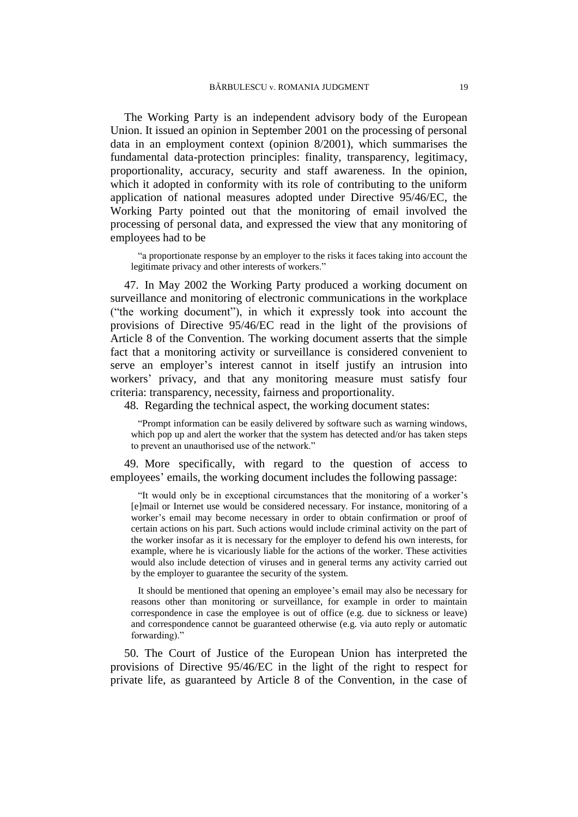The Working Party is an independent advisory body of the European Union. It issued an opinion in September 2001 on the processing of personal data in an employment context (opinion 8/2001), which summarises the fundamental data-protection principles: finality, transparency, legitimacy, proportionality, accuracy, security and staff awareness. In the opinion, which it adopted in conformity with its role of contributing to the uniform application of national measures adopted under Directive 95/46/EC, the Working Party pointed out that the monitoring of email involved the processing of personal data, and expressed the view that any monitoring of employees had to be

"a proportionate response by an employer to the risks it faces taking into account the legitimate privacy and other interests of workers."

47. In May 2002 the Working Party produced a working document on surveillance and monitoring of electronic communications in the workplace ("the working document"), in which it expressly took into account the provisions of Directive 95/46/EC read in the light of the provisions of Article 8 of the Convention. The working document asserts that the simple fact that a monitoring activity or surveillance is considered convenient to serve an employer's interest cannot in itself justify an intrusion into workers' privacy, and that any monitoring measure must satisfy four criteria: transparency, necessity, fairness and proportionality.

48. Regarding the technical aspect, the working document states:

"Prompt information can be easily delivered by software such as warning windows, which pop up and alert the worker that the system has detected and/or has taken steps to prevent an unauthorised use of the network."

49. More specifically, with regard to the question of access to employees' emails, the working document includes the following passage:

"It would only be in exceptional circumstances that the monitoring of a worker's [e]mail or Internet use would be considered necessary. For instance, monitoring of a worker's email may become necessary in order to obtain confirmation or proof of certain actions on his part. Such actions would include criminal activity on the part of the worker insofar as it is necessary for the employer to defend his own interests, for example, where he is vicariously liable for the actions of the worker. These activities would also include detection of viruses and in general terms any activity carried out by the employer to guarantee the security of the system.

It should be mentioned that opening an employee's email may also be necessary for reasons other than monitoring or surveillance, for example in order to maintain correspondence in case the employee is out of office (e.g. due to sickness or leave) and correspondence cannot be guaranteed otherwise (e.g. via auto reply or automatic forwarding)."

50. The Court of Justice of the European Union has interpreted the provisions of Directive 95/46/EC in the light of the right to respect for private life, as guaranteed by Article 8 of the Convention, in the case of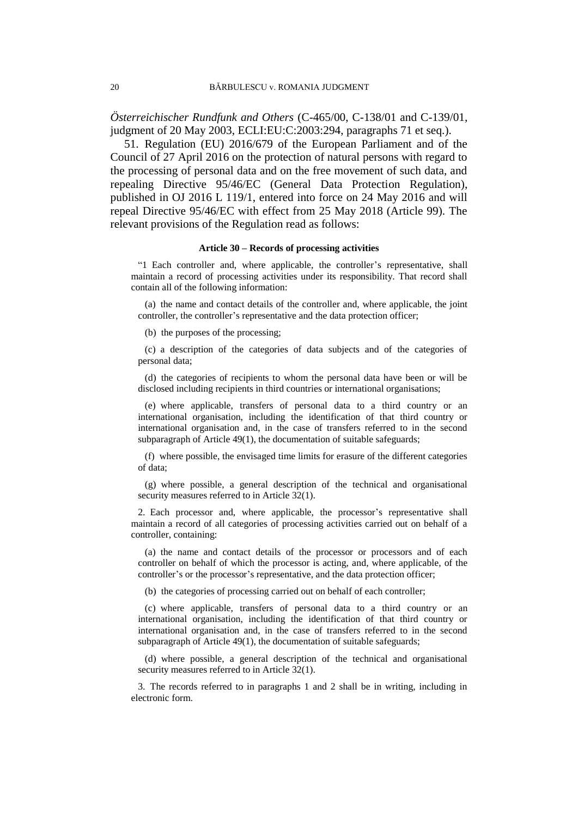*Österreichischer Rundfunk and Others* (C-465/00, C-138/01 and C-139/01, iudgment of 20 May 2003, ECLI:EU:C:2003:294, paragraphs 71 et seq.).

51. Regulation (EU) 2016/679 of the European Parliament and of the Council of 27 April 2016 on the protection of natural persons with regard to the processing of personal data and on the free movement of such data, and repealing Directive 95/46/EC (General Data Protection Regulation), published in OJ 2016 L 119/1, entered into force on 24 May 2016 and will repeal Directive 95/46/EC with effect from 25 May 2018 (Article 99). The relevant provisions of the Regulation read as follows:

#### **Article 30 – Records of processing activities**

"1 Each controller and, where applicable, the controller's representative, shall maintain a record of processing activities under its responsibility. That record shall contain all of the following information:

(a) the name and contact details of the controller and, where applicable, the joint controller, the controller's representative and the data protection officer;

(b) the purposes of the processing;

(c) a description of the categories of data subjects and of the categories of personal data;

(d) the categories of recipients to whom the personal data have been or will be disclosed including recipients in third countries or international organisations;

(e) where applicable, transfers of personal data to a third country or an international organisation, including the identification of that third country or international organisation and, in the case of transfers referred to in the second subparagraph of Article 49(1), the documentation of suitable safeguards;

(f) where possible, the envisaged time limits for erasure of the different categories of data;

(g) where possible, a general description of the technical and organisational security measures referred to in Article 32(1).

2. Each processor and, where applicable, the processor's representative shall maintain a record of all categories of processing activities carried out on behalf of a controller, containing:

(a) the name and contact details of the processor or processors and of each controller on behalf of which the processor is acting, and, where applicable, of the controller's or the processor's representative, and the data protection officer;

(b) the categories of processing carried out on behalf of each controller;

(c) where applicable, transfers of personal data to a third country or an international organisation, including the identification of that third country or international organisation and, in the case of transfers referred to in the second subparagraph of Article 49(1), the documentation of suitable safeguards;

(d) where possible, a general description of the technical and organisational security measures referred to in Article 32(1).

3. The records referred to in paragraphs 1 and 2 shall be in writing, including in electronic form.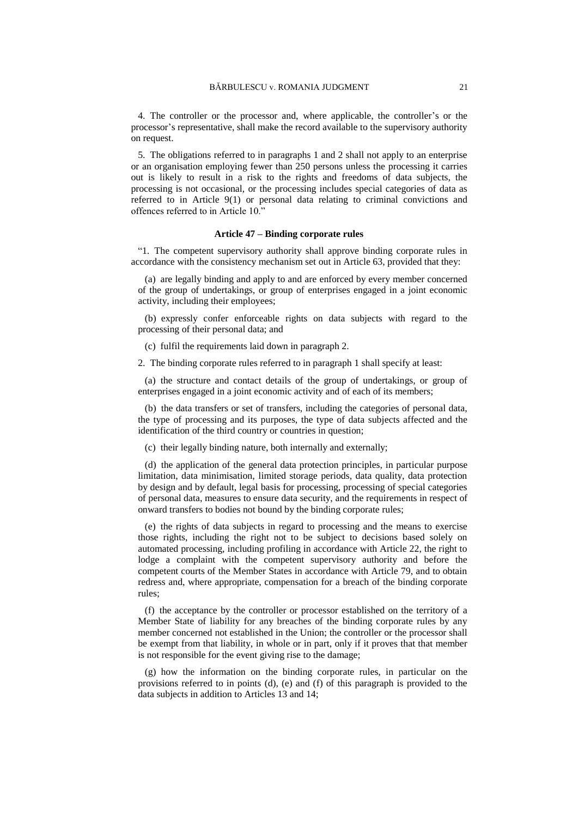4. The controller or the processor and, where applicable, the controller's or the processor's representative, shall make the record available to the supervisory authority on request.

5. The obligations referred to in paragraphs 1 and 2 shall not apply to an enterprise or an organisation employing fewer than 250 persons unless the processing it carries out is likely to result in a risk to the rights and freedoms of data subjects, the processing is not occasional, or the processing includes special categories of data as referred to in Article 9(1) or personal data relating to criminal convictions and offences referred to in Article 10."

#### **Article 47 – Binding corporate rules**

"1. The competent supervisory authority shall approve binding corporate rules in accordance with the consistency mechanism set out in Article 63, provided that they:

(a) are legally binding and apply to and are enforced by every member concerned of the group of undertakings, or group of enterprises engaged in a joint economic activity, including their employees;

(b) expressly confer enforceable rights on data subjects with regard to the processing of their personal data; and

(c) fulfil the requirements laid down in paragraph 2.

2. The binding corporate rules referred to in paragraph 1 shall specify at least:

(a) the structure and contact details of the group of undertakings, or group of enterprises engaged in a joint economic activity and of each of its members;

(b) the data transfers or set of transfers, including the categories of personal data, the type of processing and its purposes, the type of data subjects affected and the identification of the third country or countries in question;

(c) their legally binding nature, both internally and externally;

(d) the application of the general data protection principles, in particular purpose limitation, data minimisation, limited storage periods, data quality, data protection by design and by default, legal basis for processing, processing of special categories of personal data, measures to ensure data security, and the requirements in respect of onward transfers to bodies not bound by the binding corporate rules;

(e) the rights of data subjects in regard to processing and the means to exercise those rights, including the right not to be subject to decisions based solely on automated processing, including profiling in accordance with Article 22, the right to lodge a complaint with the competent supervisory authority and before the competent courts of the Member States in accordance with Article 79, and to obtain redress and, where appropriate, compensation for a breach of the binding corporate rules;

(f) the acceptance by the controller or processor established on the territory of a Member State of liability for any breaches of the binding corporate rules by any member concerned not established in the Union; the controller or the processor shall be exempt from that liability, in whole or in part, only if it proves that that member is not responsible for the event giving rise to the damage;

(g) how the information on the binding corporate rules, in particular on the provisions referred to in points (d), (e) and (f) of this paragraph is provided to the data subjects in addition to Articles 13 and 14;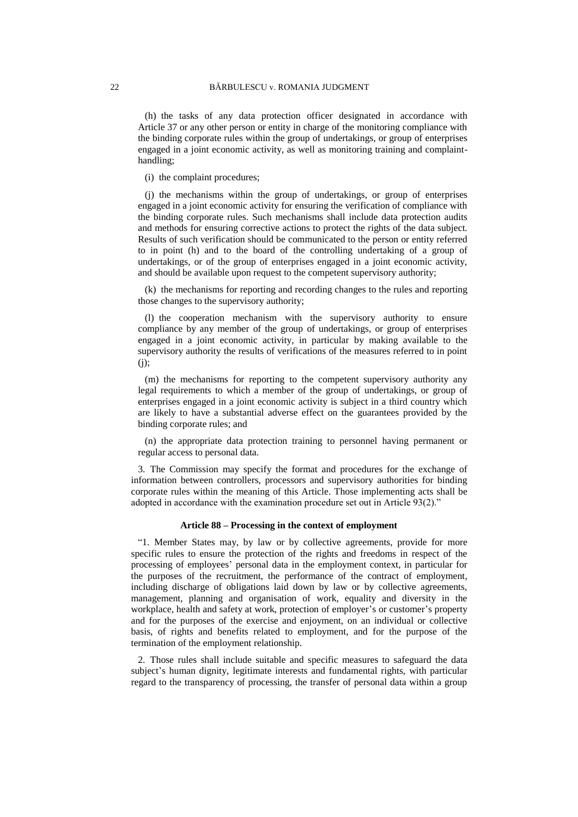(h) the tasks of any data protection officer designated in accordance with Article 37 or any other person or entity in charge of the monitoring compliance with the binding corporate rules within the group of undertakings, or group of enterprises engaged in a joint economic activity, as well as monitoring training and complainthandling;

(i) the complaint procedures;

(j) the mechanisms within the group of undertakings, or group of enterprises engaged in a joint economic activity for ensuring the verification of compliance with the binding corporate rules. Such mechanisms shall include data protection audits and methods for ensuring corrective actions to protect the rights of the data subject. Results of such verification should be communicated to the person or entity referred to in point (h) and to the board of the controlling undertaking of a group of undertakings, or of the group of enterprises engaged in a joint economic activity, and should be available upon request to the competent supervisory authority;

(k) the mechanisms for reporting and recording changes to the rules and reporting those changes to the supervisory authority;

(l) the cooperation mechanism with the supervisory authority to ensure compliance by any member of the group of undertakings, or group of enterprises engaged in a joint economic activity, in particular by making available to the supervisory authority the results of verifications of the measures referred to in point  $(i)$ :

(m) the mechanisms for reporting to the competent supervisory authority any legal requirements to which a member of the group of undertakings, or group of enterprises engaged in a joint economic activity is subject in a third country which are likely to have a substantial adverse effect on the guarantees provided by the binding corporate rules; and

(n) the appropriate data protection training to personnel having permanent or regular access to personal data.

3. The Commission may specify the format and procedures for the exchange of information between controllers, processors and supervisory authorities for binding corporate rules within the meaning of this Article. Those implementing acts shall be adopted in accordance with the examination procedure set out in Article 93(2)."

#### **Article 88 – Processing in the context of employment**

"1. Member States may, by law or by collective agreements, provide for more specific rules to ensure the protection of the rights and freedoms in respect of the processing of employees' personal data in the employment context, in particular for the purposes of the recruitment, the performance of the contract of employment, including discharge of obligations laid down by law or by collective agreements, management, planning and organisation of work, equality and diversity in the workplace, health and safety at work, protection of employer's or customer's property and for the purposes of the exercise and enjoyment, on an individual or collective basis, of rights and benefits related to employment, and for the purpose of the termination of the employment relationship.

2. Those rules shall include suitable and specific measures to safeguard the data subject's human dignity, legitimate interests and fundamental rights, with particular regard to the transparency of processing, the transfer of personal data within a group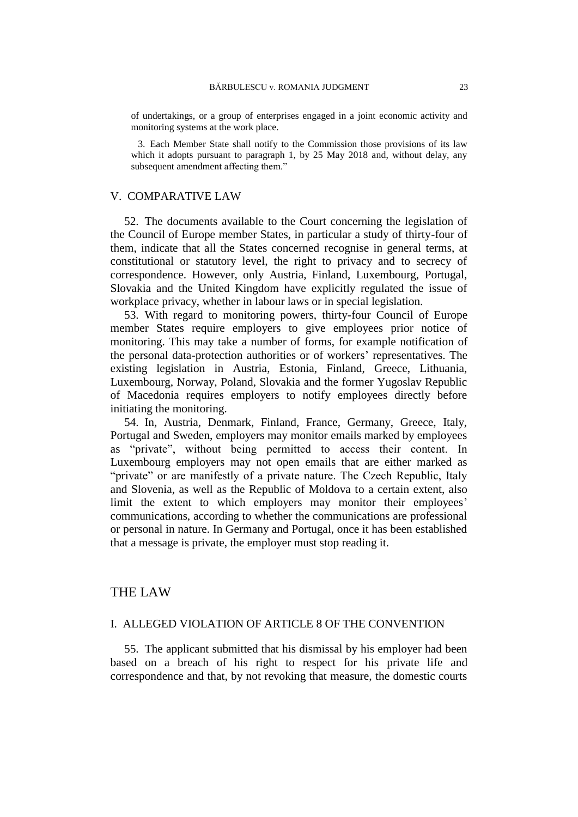of undertakings, or a group of enterprises engaged in a joint economic activity and monitoring systems at the work place.

3. Each Member State shall notify to the Commission those provisions of its law which it adopts pursuant to paragraph 1, by 25 May 2018 and, without delay, any subsequent amendment affecting them."

## V. COMPARATIVE LAW

<span id="page-24-0"></span>52. The documents available to the Court concerning the legislation of the Council of Europe member States, in particular a study of thirty-four of them, indicate that all the States concerned recognise in general terms, at constitutional or statutory level, the right to privacy and to secrecy of correspondence. However, only Austria, Finland, Luxembourg, Portugal, Slovakia and the United Kingdom have explicitly regulated the issue of workplace privacy, whether in labour laws or in special legislation.

<span id="page-24-1"></span>53. With regard to monitoring powers, thirty-four Council of Europe member States require employers to give employees prior notice of monitoring. This may take a number of forms, for example notification of the personal data-protection authorities or of workers' representatives. The existing legislation in Austria, Estonia, Finland, Greece, Lithuania, Luxembourg, Norway, Poland, Slovakia and the former Yugoslav Republic of Macedonia requires employers to notify employees directly before initiating the monitoring.

<span id="page-24-2"></span>54. In, Austria, Denmark, Finland, France, Germany, Greece, Italy, Portugal and Sweden, employers may monitor emails marked by employees as "private", without being permitted to access their content. In Luxembourg employers may not open emails that are either marked as "private" or are manifestly of a private nature. The Czech Republic, Italy and Slovenia, as well as the Republic of Moldova to a certain extent, also limit the extent to which employers may monitor their employees' communications, according to whether the communications are professional or personal in nature. In Germany and Portugal, once it has been established that a message is private, the employer must stop reading it.

## THE LAW

## I. ALLEGED VIOLATION OF ARTICLE 8 OF THE CONVENTION

55. The applicant submitted that his dismissal by his employer had been based on a breach of his right to respect for his private life and correspondence and that, by not revoking that measure, the domestic courts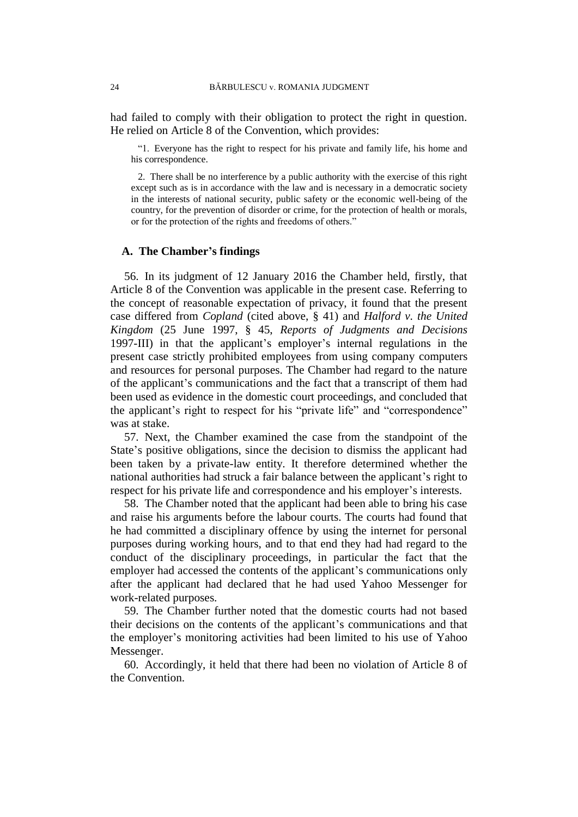had failed to comply with their obligation to protect the right in question. He relied on Article 8 of the Convention, which provides:

"1. Everyone has the right to respect for his private and family life, his home and his correspondence.

2. There shall be no interference by a public authority with the exercise of this right except such as is in accordance with the law and is necessary in a democratic society in the interests of national security, public safety or the economic well-being of the country, for the prevention of disorder or crime, for the protection of health or morals, or for the protection of the rights and freedoms of others."

## **A. The Chamber's findings**

56. In its judgment of 12 January 2016 the Chamber held, firstly, that Article 8 of the Convention was applicable in the present case. Referring to the concept of reasonable expectation of privacy, it found that the present case differed from *Copland* (cited above, § 41) and *Halford v. the United Kingdom* (25 June 1997, § 45, *Reports of Judgments and Decisions* 1997-III) in that the applicant's employer's internal regulations in the present case strictly prohibited employees from using company computers and resources for personal purposes. The Chamber had regard to the nature of the applicant's communications and the fact that a transcript of them had been used as evidence in the domestic court proceedings, and concluded that the applicant's right to respect for his "private life" and "correspondence" was at stake.

57. Next, the Chamber examined the case from the standpoint of the State's positive obligations, since the decision to dismiss the applicant had been taken by a private-law entity. It therefore determined whether the national authorities had struck a fair balance between the applicant's right to respect for his private life and correspondence and his employer's interests.

58. The Chamber noted that the applicant had been able to bring his case and raise his arguments before the labour courts. The courts had found that he had committed a disciplinary offence by using the internet for personal purposes during working hours, and to that end they had had regard to the conduct of the disciplinary proceedings, in particular the fact that the employer had accessed the contents of the applicant's communications only after the applicant had declared that he had used Yahoo Messenger for work-related purposes.

59. The Chamber further noted that the domestic courts had not based their decisions on the contents of the applicant's communications and that the employer's monitoring activities had been limited to his use of Yahoo Messenger.

60. Accordingly, it held that there had been no violation of Article 8 of the Convention.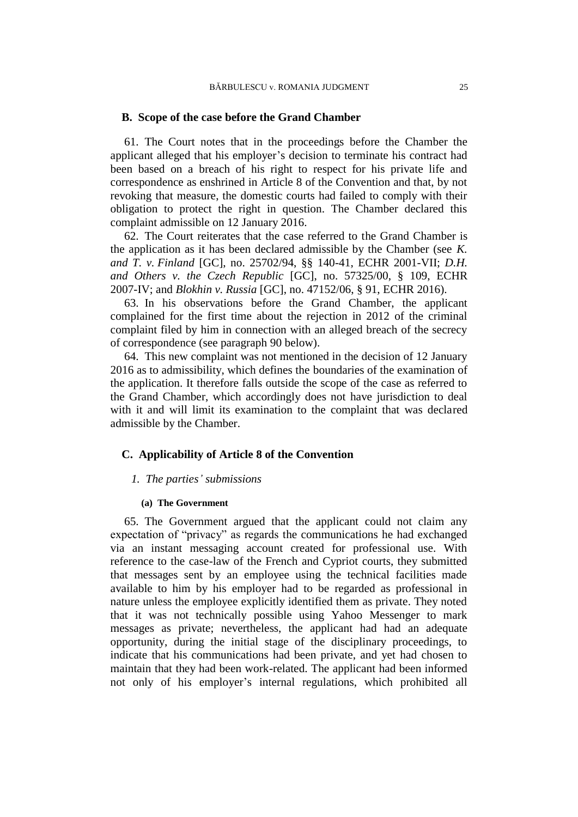## **B. Scope of the case before the Grand Chamber**

61. The Court notes that in the proceedings before the Chamber the applicant alleged that his employer's decision to terminate his contract had been based on a breach of his right to respect for his private life and correspondence as enshrined in Article 8 of the Convention and that, by not revoking that measure, the domestic courts had failed to comply with their obligation to protect the right in question. The Chamber declared this complaint admissible on 12 January 2016.

62. The Court reiterates that the case referred to the Grand Chamber is the application as it has been declared admissible by the Chamber (see *K. and T. v. Finland* [GC], no. 25702/94, §§ 140-41, ECHR 2001-VII; *D.H. and Others v. the Czech Republic* [GC], no. 57325/00, § 109, ECHR 2007-IV; and *Blokhin v. Russia* [GC], no. 47152/06, § 91, ECHR 2016).

63. In his observations before the Grand Chamber, the applicant complained for the first time about the rejection in 2012 of the criminal complaint filed by him in connection with an alleged breach of the secrecy of correspondence (see paragraph [90](#page-31-0) below).

64. This new complaint was not mentioned in the decision of 12 January 2016 as to admissibility, which defines the boundaries of the examination of the application. It therefore falls outside the scope of the case as referred to the Grand Chamber, which accordingly does not have jurisdiction to deal with it and will limit its examination to the complaint that was declared admissible by the Chamber.

## **C. Applicability of Article 8 of the Convention**

#### *1. The parties' submissions*

#### **(a) The Government**

65. The Government argued that the applicant could not claim any expectation of "privacy" as regards the communications he had exchanged via an instant messaging account created for professional use. With reference to the case-law of the French and Cypriot courts, they submitted that messages sent by an employee using the technical facilities made available to him by his employer had to be regarded as professional in nature unless the employee explicitly identified them as private. They noted that it was not technically possible using Yahoo Messenger to mark messages as private; nevertheless, the applicant had had an adequate opportunity, during the initial stage of the disciplinary proceedings, to indicate that his communications had been private, and yet had chosen to maintain that they had been work-related. The applicant had been informed not only of his employer's internal regulations, which prohibited all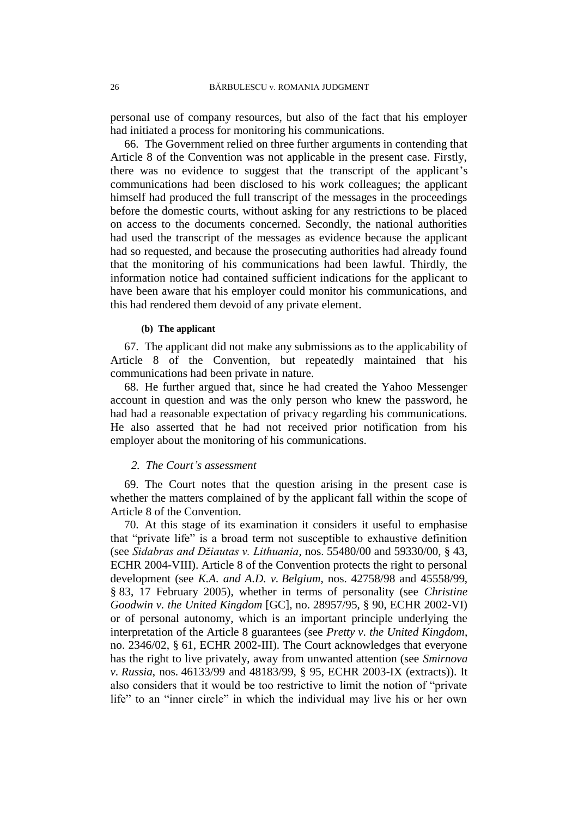personal use of company resources, but also of the fact that his employer had initiated a process for monitoring his communications.

66. The Government relied on three further arguments in contending that Article 8 of the Convention was not applicable in the present case. Firstly, there was no evidence to suggest that the transcript of the applicant's communications had been disclosed to his work colleagues; the applicant himself had produced the full transcript of the messages in the proceedings before the domestic courts, without asking for any restrictions to be placed on access to the documents concerned. Secondly, the national authorities had used the transcript of the messages as evidence because the applicant had so requested, and because the prosecuting authorities had already found that the monitoring of his communications had been lawful. Thirdly, the information notice had contained sufficient indications for the applicant to have been aware that his employer could monitor his communications, and this had rendered them devoid of any private element.

### **(b) The applicant**

67. The applicant did not make any submissions as to the applicability of Article 8 of the Convention, but repeatedly maintained that his communications had been private in nature.

<span id="page-27-0"></span>68. He further argued that, since he had created the Yahoo Messenger account in question and was the only person who knew the password, he had had a reasonable expectation of privacy regarding his communications. He also asserted that he had not received prior notification from his employer about the monitoring of his communications.

## *2. The Court's assessment*

69. The Court notes that the question arising in the present case is whether the matters complained of by the applicant fall within the scope of Article 8 of the Convention.

70. At this stage of its examination it considers it useful to emphasise that "private life" is a broad term not susceptible to exhaustive definition (see *Sidabras and Džiautas v. Lithuania*, nos. 55480/00 and 59330/00, § 43, ECHR 2004-VIII). Article 8 of the Convention protects the right to personal development (see *K.A. and A.D. v. Belgium*, nos. 42758/98 and 45558/99, § 83, 17 February 2005), whether in terms of personality (see *Christine Goodwin v. the United Kingdom* [GC], no. 28957/95, § 90, ECHR 2002-VI) or of personal autonomy, which is an important principle underlying the interpretation of the Article 8 guarantees (see *Pretty v. the United Kingdom*, no. 2346/02, § 61, ECHR 2002-III). The Court acknowledges that everyone has the right to live privately, away from unwanted attention (see *Smirnova v. Russia*, nos. 46133/99 and 48183/99, § 95, ECHR 2003-IX (extracts)). It also considers that it would be too restrictive to limit the notion of "private life" to an "inner circle" in which the individual may live his or her own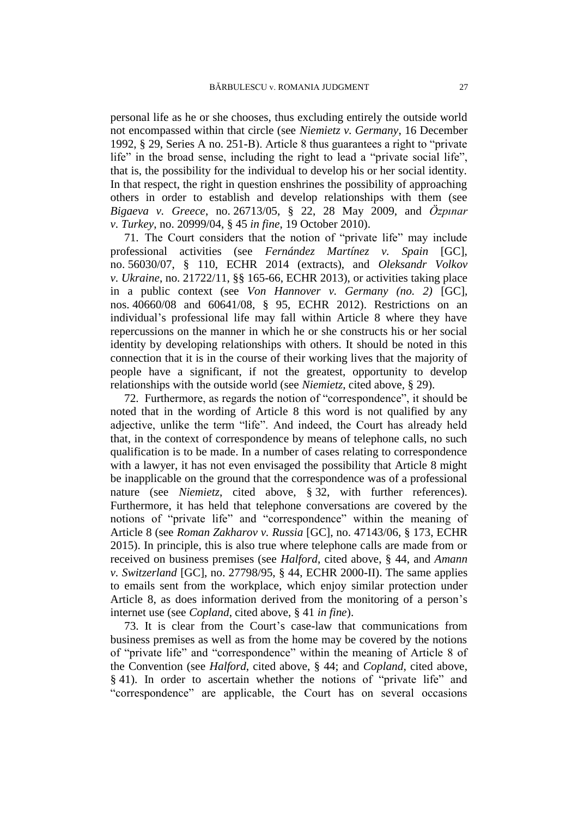personal life as he or she chooses, thus excluding entirely the outside world not encompassed within that circle (see *Niemietz v. Germany*, 16 December 1992, § 29, Series A no. 251-B). Article 8 thus guarantees a right to "private life" in the broad sense, including the right to lead a "private social life", that is, the possibility for the individual to develop his or her social identity. In that respect, the right in question enshrines the possibility of approaching others in order to establish and develop relationships with them (see *Bigaeva v. Greece*, no. 26713/05, § 22, 28 May 2009, and *Özpınar v. Turkey*, no. 20999/04, § 45 *in fine*, 19 October 2010).

71. The Court considers that the notion of "private life" may include professional activities (see *Fernández Martínez v. Spain* [GC], no. 56030/07, § 110, ECHR 2014 (extracts), and *Oleksandr Volkov v. Ukraine*, no. 21722/11, §§ 165-66, ECHR 2013), or activities taking place in a public context (see *Von Hannover v. Germany (no. 2)* [GC], nos. 40660/08 and 60641/08, § 95, ECHR 2012). Restrictions on an individual's professional life may fall within Article 8 where they have repercussions on the manner in which he or she constructs his or her social identity by developing relationships with others. It should be noted in this connection that it is in the course of their working lives that the majority of people have a significant, if not the greatest, opportunity to develop relationships with the outside world (see *Niemietz*, cited above, § 29).

72. Furthermore, as regards the notion of "correspondence", it should be noted that in the wording of Article 8 this word is not qualified by any adjective, unlike the term "life". And indeed, the Court has already held that, in the context of correspondence by means of telephone calls, no such qualification is to be made. In a number of cases relating to correspondence with a lawyer, it has not even envisaged the possibility that Article 8 might be inapplicable on the ground that the correspondence was of a professional nature (see *Niemietz*, cited above, § 32, with further references). Furthermore, it has held that telephone conversations are covered by the notions of "private life" and "correspondence" within the meaning of Article 8 (see *Roman Zakharov v. Russia* [GC], no. 47143/06, § 173, ECHR 2015). In principle, this is also true where telephone calls are made from or received on business premises (see *Halford*, cited above, § 44, and *Amann v. Switzerland* [GC], no. 27798/95, § 44, ECHR 2000-II). The same applies to emails sent from the workplace, which enjoy similar protection under Article 8, as does information derived from the monitoring of a person's internet use (see *Copland*, cited above, § 41 *in fine*).

73. It is clear from the Court's case-law that communications from business premises as well as from the home may be covered by the notions of "private life" and "correspondence" within the meaning of Article 8 of the Convention (see *Halford*, cited above, § 44; and *Copland*, cited above, § 41). In order to ascertain whether the notions of "private life" and "correspondence" are applicable, the Court has on several occasions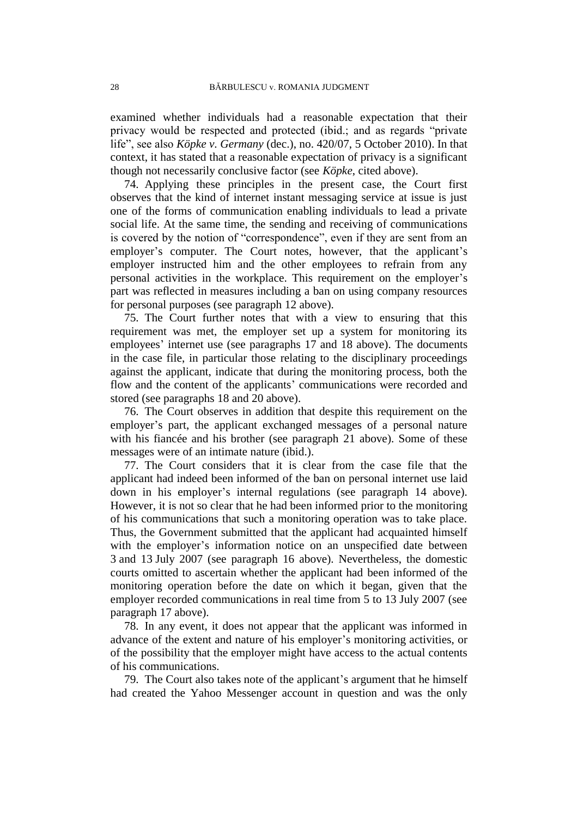examined whether individuals had a reasonable expectation that their privacy would be respected and protected (ibid.; and as regards "private life", see also *Köpke v. Germany* (dec.), no. 420/07, 5 October 2010). In that context, it has stated that a reasonable expectation of privacy is a significant though not necessarily conclusive factor (see *Köpke*, cited above).

74. Applying these principles in the present case, the Court first observes that the kind of internet instant messaging service at issue is just one of the forms of communication enabling individuals to lead a private social life. At the same time, the sending and receiving of communications is covered by the notion of "correspondence", even if they are sent from an employer's computer. The Court notes, however, that the applicant's employer instructed him and the other employees to refrain from any personal activities in the workplace. This requirement on the employer's part was reflected in measures including a ban on using company resources for personal purposes (see paragraph [12](#page-4-1) above).

75. The Court further notes that with a view to ensuring that this requirement was met, the employer set up a system for monitoring its employees' internet use (see paragraphs [17](#page-5-0) and [18](#page-5-1) above). The documents in the case file, in particular those relating to the disciplinary proceedings against the applicant, indicate that during the monitoring process, both the flow and the content of the applicants' communications were recorded and stored (see paragraphs [18](#page-5-1) and [20](#page-5-2) above).

76. The Court observes in addition that despite this requirement on the employer's part, the applicant exchanged messages of a personal nature with his fiancée and his brother (see paragraph [21](#page-5-3) above). Some of these messages were of an intimate nature (ibid.).

77. The Court considers that it is clear from the case file that the applicant had indeed been informed of the ban on personal internet use laid down in his employer's internal regulations (see paragraph [14](#page-4-2) above). However, it is not so clear that he had been informed prior to the monitoring of his communications that such a monitoring operation was to take place. Thus, the Government submitted that the applicant had acquainted himself with the employer's information notice on an unspecified date between 3 and 13 July 2007 (see paragraph [16](#page-5-4) above). Nevertheless, the domestic courts omitted to ascertain whether the applicant had been informed of the monitoring operation before the date on which it began, given that the employer recorded communications in real time from 5 to 13 July 2007 (see paragraph [17](#page-5-0) above).

<span id="page-29-0"></span>78. In any event, it does not appear that the applicant was informed in advance of the extent and nature of his employer's monitoring activities, or of the possibility that the employer might have access to the actual contents of his communications.

79. The Court also takes note of the applicant's argument that he himself had created the Yahoo Messenger account in question and was the only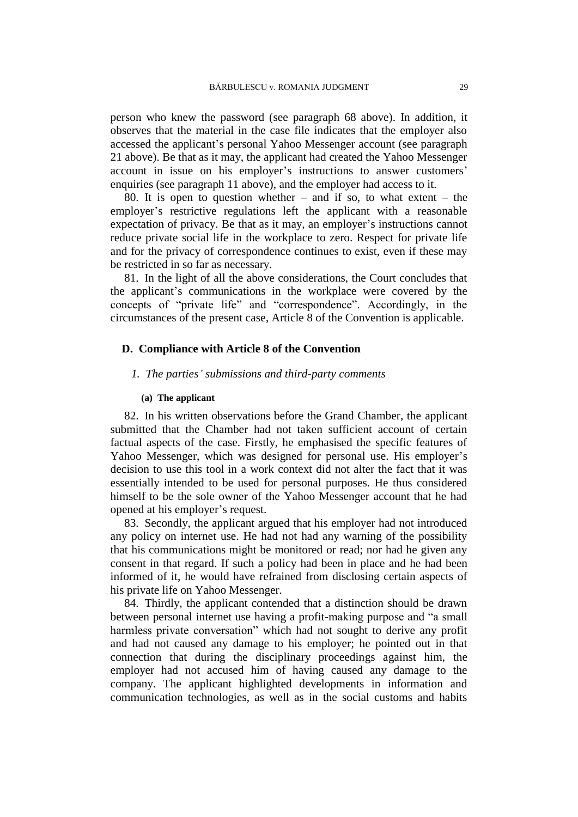person who knew the password (see paragraph [68](#page-27-0) above). In addition, it observes that the material in the case file indicates that the employer also accessed the applicant's personal Yahoo Messenger account (see paragraph [21](#page-5-3) above). Be that as it may, the applicant had created the Yahoo Messenger account in issue on his employer's instructions to answer customers' enquiries (see paragraph [11](#page-4-3) above), and the employer had access to it.

80. It is open to question whether – and if so, to what extent – the employer's restrictive regulations left the applicant with a reasonable expectation of privacy. Be that as it may, an employer's instructions cannot reduce private social life in the workplace to zero. Respect for private life and for the privacy of correspondence continues to exist, even if these may be restricted in so far as necessary.

<span id="page-30-0"></span>81. In the light of all the above considerations, the Court concludes that the applicant's communications in the workplace were covered by the concepts of "private life" and "correspondence". Accordingly, in the circumstances of the present case, Article 8 of the Convention is applicable.

## **D. Compliance with Article 8 of the Convention**

## *1. The parties' submissions and third-party comments*

#### **(a) The applicant**

82. In his written observations before the Grand Chamber, the applicant submitted that the Chamber had not taken sufficient account of certain factual aspects of the case. Firstly, he emphasised the specific features of Yahoo Messenger, which was designed for personal use. His employer's decision to use this tool in a work context did not alter the fact that it was essentially intended to be used for personal purposes. He thus considered himself to be the sole owner of the Yahoo Messenger account that he had opened at his employer's request.

83. Secondly, the applicant argued that his employer had not introduced any policy on internet use. He had not had any warning of the possibility that his communications might be monitored or read; nor had he given any consent in that regard. If such a policy had been in place and he had been informed of it, he would have refrained from disclosing certain aspects of his private life on Yahoo Messenger.

84. Thirdly, the applicant contended that a distinction should be drawn between personal internet use having a profit-making purpose and "a small harmless private conversation" which had not sought to derive any profit and had not caused any damage to his employer; he pointed out in that connection that during the disciplinary proceedings against him, the employer had not accused him of having caused any damage to the company. The applicant highlighted developments in information and communication technologies, as well as in the social customs and habits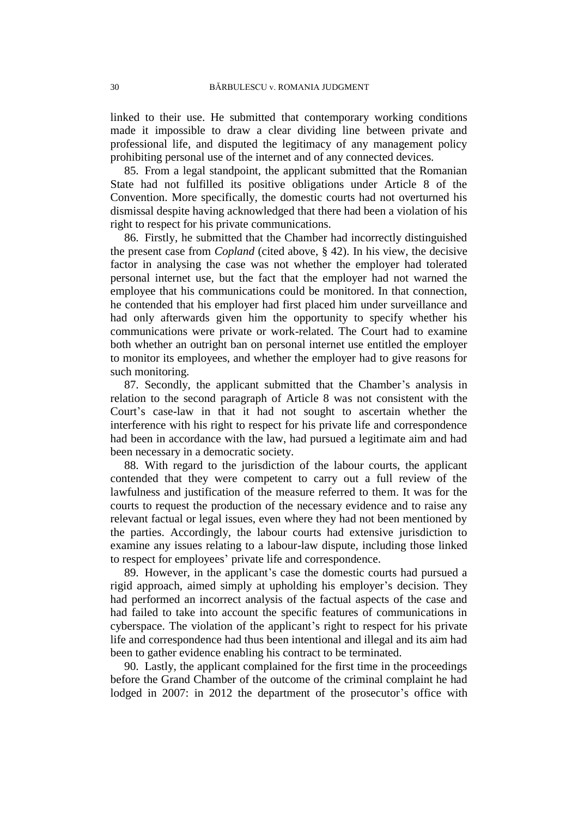linked to their use. He submitted that contemporary working conditions made it impossible to draw a clear dividing line between private and professional life, and disputed the legitimacy of any management policy prohibiting personal use of the internet and of any connected devices.

85. From a legal standpoint, the applicant submitted that the Romanian State had not fulfilled its positive obligations under Article 8 of the Convention. More specifically, the domestic courts had not overturned his dismissal despite having acknowledged that there had been a violation of his right to respect for his private communications.

86. Firstly, he submitted that the Chamber had incorrectly distinguished the present case from *Copland* (cited above, § 42). In his view, the decisive factor in analysing the case was not whether the employer had tolerated personal internet use, but the fact that the employer had not warned the employee that his communications could be monitored. In that connection, he contended that his employer had first placed him under surveillance and had only afterwards given him the opportunity to specify whether his communications were private or work-related. The Court had to examine both whether an outright ban on personal internet use entitled the employer to monitor its employees, and whether the employer had to give reasons for such monitoring.

87. Secondly, the applicant submitted that the Chamber's analysis in relation to the second paragraph of Article 8 was not consistent with the Court's case-law in that it had not sought to ascertain whether the interference with his right to respect for his private life and correspondence had been in accordance with the law, had pursued a legitimate aim and had been necessary in a democratic society.

88. With regard to the jurisdiction of the labour courts, the applicant contended that they were competent to carry out a full review of the lawfulness and justification of the measure referred to them. It was for the courts to request the production of the necessary evidence and to raise any relevant factual or legal issues, even where they had not been mentioned by the parties. Accordingly, the labour courts had extensive jurisdiction to examine any issues relating to a labour-law dispute, including those linked to respect for employees' private life and correspondence.

89. However, in the applicant's case the domestic courts had pursued a rigid approach, aimed simply at upholding his employer's decision. They had performed an incorrect analysis of the factual aspects of the case and had failed to take into account the specific features of communications in cyberspace. The violation of the applicant's right to respect for his private life and correspondence had thus been intentional and illegal and its aim had been to gather evidence enabling his contract to be terminated.

<span id="page-31-0"></span>90. Lastly, the applicant complained for the first time in the proceedings before the Grand Chamber of the outcome of the criminal complaint he had lodged in 2007: in 2012 the department of the prosecutor's office with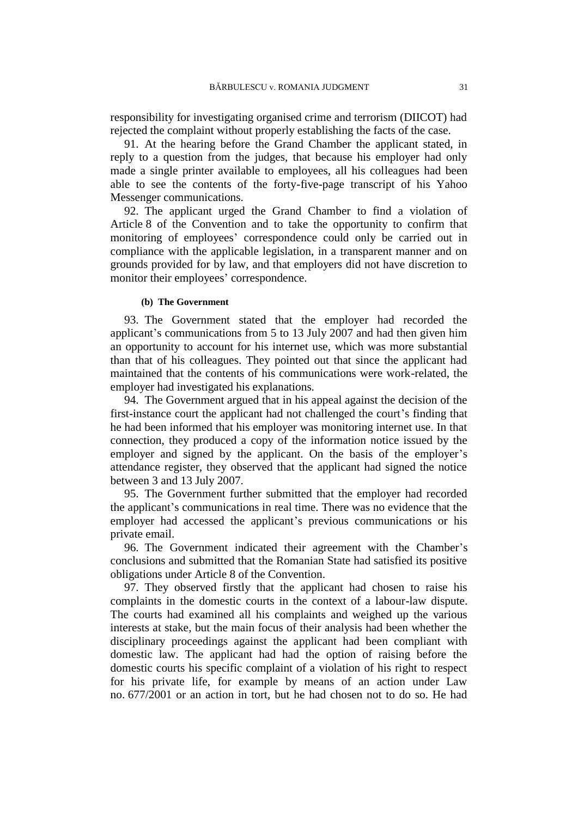responsibility for investigating organised crime and terrorism (DIICOT) had rejected the complaint without properly establishing the facts of the case.

<span id="page-32-0"></span>91. At the hearing before the Grand Chamber the applicant stated, in reply to a question from the judges, that because his employer had only made a single printer available to employees, all his colleagues had been able to see the contents of the forty-five-page transcript of his Yahoo Messenger communications.

92. The applicant urged the Grand Chamber to find a violation of Article 8 of the Convention and to take the opportunity to confirm that monitoring of employees' correspondence could only be carried out in compliance with the applicable legislation, in a transparent manner and on grounds provided for by law, and that employers did not have discretion to monitor their employees' correspondence.

### **(b) The Government**

93. The Government stated that the employer had recorded the applicant's communications from 5 to 13 July 2007 and had then given him an opportunity to account for his internet use, which was more substantial than that of his colleagues. They pointed out that since the applicant had maintained that the contents of his communications were work-related, the employer had investigated his explanations.

94. The Government argued that in his appeal against the decision of the first-instance court the applicant had not challenged the court's finding that he had been informed that his employer was monitoring internet use. In that connection, they produced a copy of the information notice issued by the employer and signed by the applicant. On the basis of the employer's attendance register, they observed that the applicant had signed the notice between 3 and 13 July 2007.

95. The Government further submitted that the employer had recorded the applicant's communications in real time. There was no evidence that the employer had accessed the applicant's previous communications or his private email.

96. The Government indicated their agreement with the Chamber's conclusions and submitted that the Romanian State had satisfied its positive obligations under Article 8 of the Convention.

97. They observed firstly that the applicant had chosen to raise his complaints in the domestic courts in the context of a labour-law dispute. The courts had examined all his complaints and weighed up the various interests at stake, but the main focus of their analysis had been whether the disciplinary proceedings against the applicant had been compliant with domestic law. The applicant had had the option of raising before the domestic courts his specific complaint of a violation of his right to respect for his private life, for example by means of an action under Law no. 677/2001 or an action in tort, but he had chosen not to do so. He had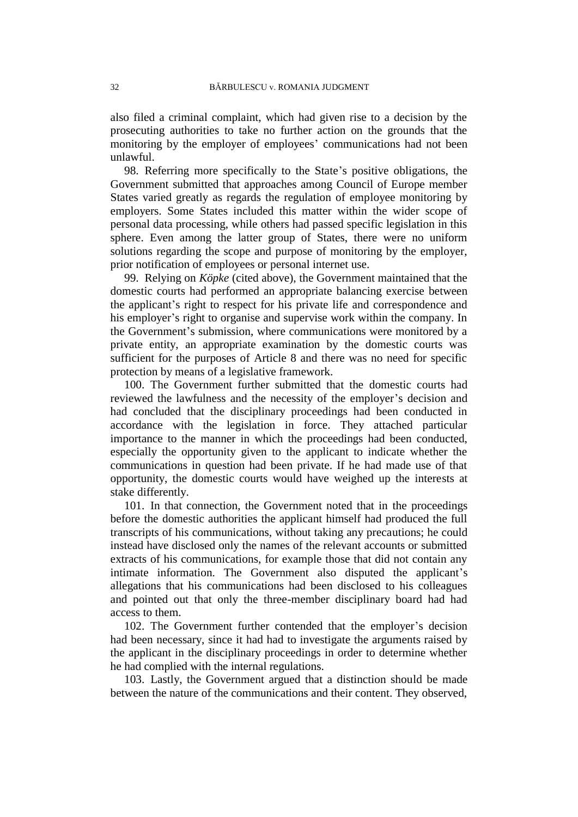also filed a criminal complaint, which had given rise to a decision by the prosecuting authorities to take no further action on the grounds that the monitoring by the employer of employees' communications had not been unlawful.

98. Referring more specifically to the State's positive obligations, the Government submitted that approaches among Council of Europe member States varied greatly as regards the regulation of employee monitoring by employers. Some States included this matter within the wider scope of personal data processing, while others had passed specific legislation in this sphere. Even among the latter group of States, there were no uniform solutions regarding the scope and purpose of monitoring by the employer, prior notification of employees or personal internet use.

99. Relying on *Köpke* (cited above), the Government maintained that the domestic courts had performed an appropriate balancing exercise between the applicant's right to respect for his private life and correspondence and his employer's right to organise and supervise work within the company. In the Government's submission, where communications were monitored by a private entity, an appropriate examination by the domestic courts was sufficient for the purposes of Article 8 and there was no need for specific protection by means of a legislative framework.

100. The Government further submitted that the domestic courts had reviewed the lawfulness and the necessity of the employer's decision and had concluded that the disciplinary proceedings had been conducted in accordance with the legislation in force. They attached particular importance to the manner in which the proceedings had been conducted, especially the opportunity given to the applicant to indicate whether the communications in question had been private. If he had made use of that opportunity, the domestic courts would have weighed up the interests at stake differently.

101. In that connection, the Government noted that in the proceedings before the domestic authorities the applicant himself had produced the full transcripts of his communications, without taking any precautions; he could instead have disclosed only the names of the relevant accounts or submitted extracts of his communications, for example those that did not contain any intimate information. The Government also disputed the applicant's allegations that his communications had been disclosed to his colleagues and pointed out that only the three-member disciplinary board had had access to them.

102. The Government further contended that the employer's decision had been necessary, since it had had to investigate the arguments raised by the applicant in the disciplinary proceedings in order to determine whether he had complied with the internal regulations.

103. Lastly, the Government argued that a distinction should be made between the nature of the communications and their content. They observed,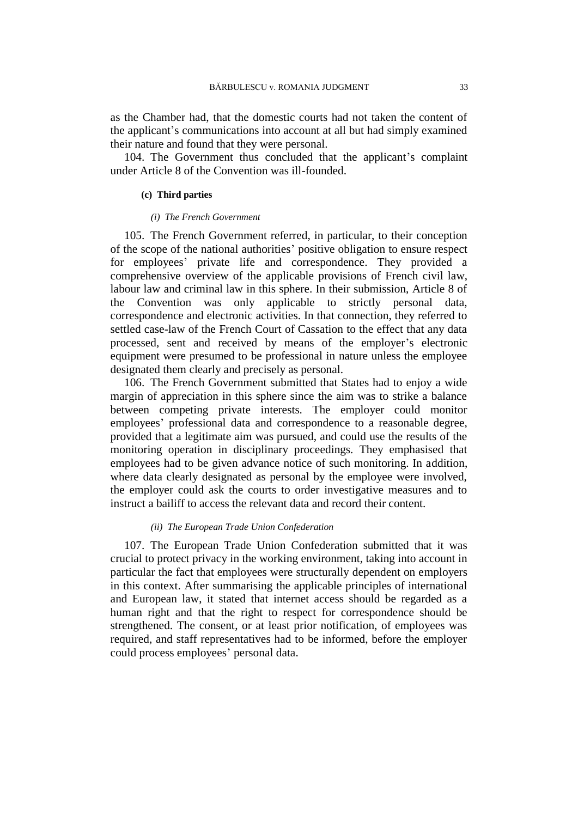as the Chamber had, that the domestic courts had not taken the content of the applicant's communications into account at all but had simply examined their nature and found that they were personal.

104. The Government thus concluded that the applicant's complaint under Article 8 of the Convention was ill-founded.

### **(c) Third parties**

## *(i) The French Government*

105. The French Government referred, in particular, to their conception of the scope of the national authorities' positive obligation to ensure respect for employees' private life and correspondence. They provided a comprehensive overview of the applicable provisions of French civil law, labour law and criminal law in this sphere. In their submission, Article 8 of the Convention was only applicable to strictly personal data, correspondence and electronic activities. In that connection, they referred to settled case-law of the French Court of Cassation to the effect that any data processed, sent and received by means of the employer's electronic equipment were presumed to be professional in nature unless the employee designated them clearly and precisely as personal.

106. The French Government submitted that States had to enjoy a wide margin of appreciation in this sphere since the aim was to strike a balance between competing private interests. The employer could monitor employees' professional data and correspondence to a reasonable degree, provided that a legitimate aim was pursued, and could use the results of the monitoring operation in disciplinary proceedings. They emphasised that employees had to be given advance notice of such monitoring. In addition, where data clearly designated as personal by the employee were involved, the employer could ask the courts to order investigative measures and to instruct a bailiff to access the relevant data and record their content.

## *(ii) The European Trade Union Confederation*

107. The European Trade Union Confederation submitted that it was crucial to protect privacy in the working environment, taking into account in particular the fact that employees were structurally dependent on employers in this context. After summarising the applicable principles of international and European law, it stated that internet access should be regarded as a human right and that the right to respect for correspondence should be strengthened. The consent, or at least prior notification, of employees was required, and staff representatives had to be informed, before the employer could process employees' personal data.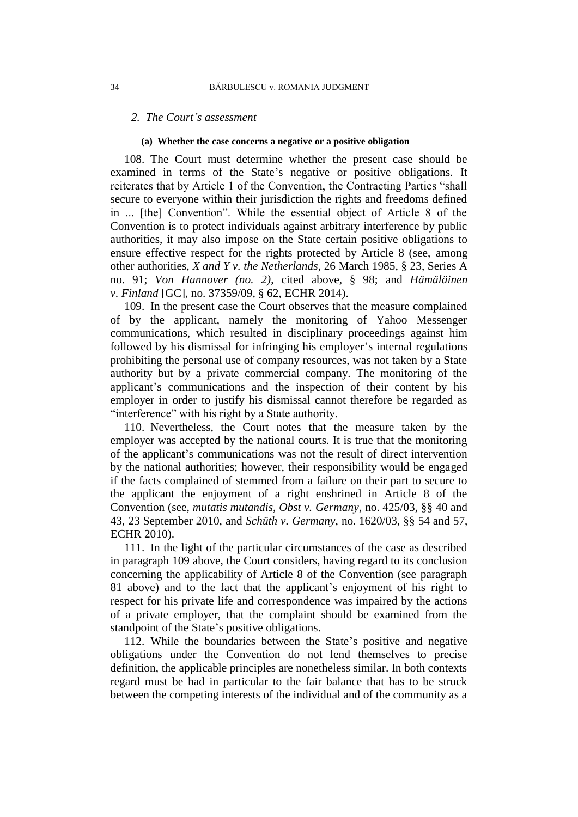#### *2. The Court's assessment*

#### **(a) Whether the case concerns a negative or a positive obligation**

108. The Court must determine whether the present case should be examined in terms of the State's negative or positive obligations. It reiterates that by Article 1 of the Convention, the Contracting Parties "shall secure to everyone within their jurisdiction the rights and freedoms defined in ... [the] Convention". While the essential object of Article 8 of the Convention is to protect individuals against arbitrary interference by public authorities, it may also impose on the State certain positive obligations to ensure effective respect for the rights protected by Article 8 (see, among other authorities, *X and Y v. the Netherlands*, 26 March 1985, § 23, Series A no. 91; *Von Hannover (no. 2)*, cited above, § 98; and *Hämäläinen v. Finland* [GC], no. 37359/09, § 62, ECHR 2014).

<span id="page-35-0"></span>109. In the present case the Court observes that the measure complained of by the applicant, namely the monitoring of Yahoo Messenger communications, which resulted in disciplinary proceedings against him followed by his dismissal for infringing his employer's internal regulations prohibiting the personal use of company resources, was not taken by a State authority but by a private commercial company. The monitoring of the applicant's communications and the inspection of their content by his employer in order to justify his dismissal cannot therefore be regarded as "interference" with his right by a State authority.

110. Nevertheless, the Court notes that the measure taken by the employer was accepted by the national courts. It is true that the monitoring of the applicant's communications was not the result of direct intervention by the national authorities; however, their responsibility would be engaged if the facts complained of stemmed from a failure on their part to secure to the applicant the enjoyment of a right enshrined in Article 8 of the Convention (see, *mutatis mutandis*, *Obst v. Germany*, no. 425/03, §§ 40 and 43, 23 September 2010, and *Schüth v. Germany*, no. 1620/03, §§ 54 and 57, ECHR 2010).

111. In the light of the particular circumstances of the case as described in paragraph [109](#page-35-0) above, the Court considers, having regard to its conclusion concerning the applicability of Article 8 of the Convention (see paragraph [81](#page-30-0) above) and to the fact that the applicant's enjoyment of his right to respect for his private life and correspondence was impaired by the actions of a private employer, that the complaint should be examined from the standpoint of the State's positive obligations.

112. While the boundaries between the State's positive and negative obligations under the Convention do not lend themselves to precise definition, the applicable principles are nonetheless similar. In both contexts regard must be had in particular to the fair balance that has to be struck between the competing interests of the individual and of the community as a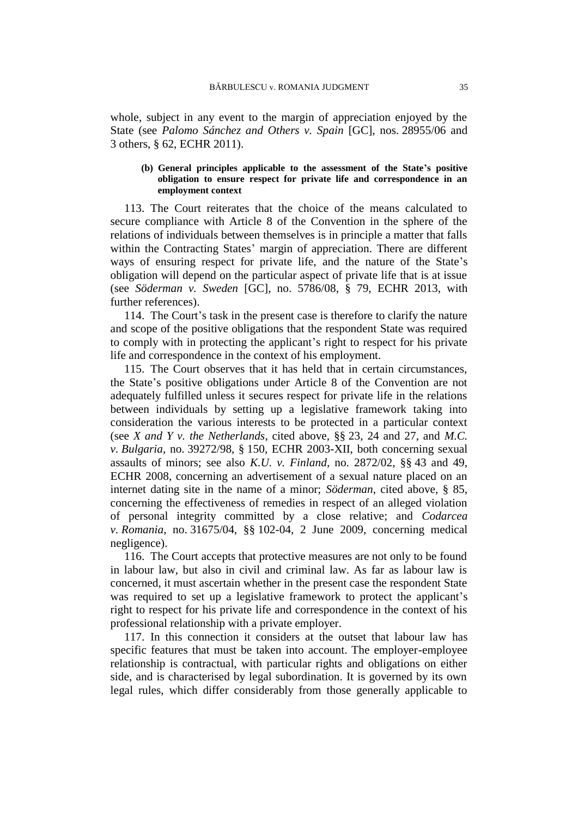whole, subject in any event to the margin of appreciation enjoyed by the State (see *Palomo Sánchez and Others v. Spain* [GC], nos. 28955/06 and 3 others, § 62, ECHR 2011).

## **(b) General principles applicable to the assessment of the State's positive obligation to ensure respect for private life and correspondence in an employment context**

113. The Court reiterates that the choice of the means calculated to secure compliance with Article 8 of the Convention in the sphere of the relations of individuals between themselves is in principle a matter that falls within the Contracting States' margin of appreciation. There are different ways of ensuring respect for private life, and the nature of the State's obligation will depend on the particular aspect of private life that is at issue (see *Söderman v. Sweden* [GC], no. 5786/08, § 79, ECHR 2013, with further references).

114. The Court's task in the present case is therefore to clarify the nature and scope of the positive obligations that the respondent State was required to comply with in protecting the applicant's right to respect for his private life and correspondence in the context of his employment.

115. The Court observes that it has held that in certain circumstances, the State's positive obligations under Article 8 of the Convention are not adequately fulfilled unless it secures respect for private life in the relations between individuals by setting up a legislative framework taking into consideration the various interests to be protected in a particular context (see *X and Y v. the Netherlands*, cited above, §§ 23, 24 and 27, and *M.C. v. Bulgaria*, no. 39272/98, § 150, ECHR 2003-XII, both concerning sexual assaults of minors; see also *K.U. v. Finland*, no. 2872/02, §§ 43 and 49, ECHR 2008, concerning an advertisement of a sexual nature placed on an internet dating site in the name of a minor; *Söderman*, cited above, § 85, concerning the effectiveness of remedies in respect of an alleged violation of personal integrity committed by a close relative; and *Codarcea v. Romania*, no. 31675/04, §§ 102-04, 2 June 2009, concerning medical negligence).

116. The Court accepts that protective measures are not only to be found in labour law, but also in civil and criminal law. As far as labour law is concerned, it must ascertain whether in the present case the respondent State was required to set up a legislative framework to protect the applicant's right to respect for his private life and correspondence in the context of his professional relationship with a private employer.

117. In this connection it considers at the outset that labour law has specific features that must be taken into account. The employer-employee relationship is contractual, with particular rights and obligations on either side, and is characterised by legal subordination. It is governed by its own legal rules, which differ considerably from those generally applicable to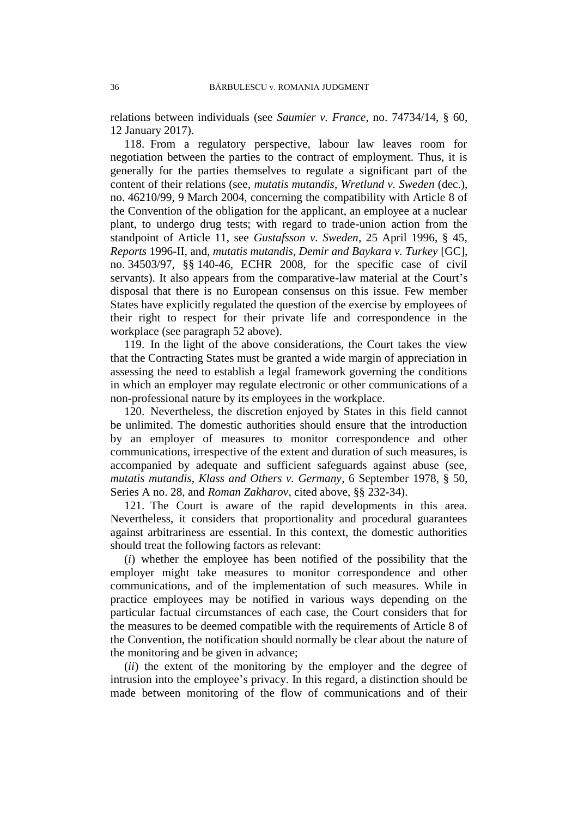relations between individuals (see *Saumier v. France*, no. 74734/14, § 60, 12 January 2017).

118. From a regulatory perspective, labour law leaves room for negotiation between the parties to the contract of employment. Thus, it is generally for the parties themselves to regulate a significant part of the content of their relations (see, *mutatis mutandis*, *Wretlund v. Sweden* (dec.), no. 46210/99, 9 March 2004, concerning the compatibility with Article 8 of the Convention of the obligation for the applicant, an employee at a nuclear plant, to undergo drug tests; with regard to trade-union action from the standpoint of Article 11, see *Gustafsson v. Sweden*, 25 April 1996, § 45, *Reports* 1996-II, and, *mutatis mutandis*, *Demir and Baykara v. Turkey* [GC], no. 34503/97, §§ 140-46, ECHR 2008, for the specific case of civil servants). It also appears from the comparative-law material at the Court's disposal that there is no European consensus on this issue. Few member States have explicitly regulated the question of the exercise by employees of their right to respect for their private life and correspondence in the workplace (see paragraph [52](#page-24-0) above).

119. In the light of the above considerations, the Court takes the view that the Contracting States must be granted a wide margin of appreciation in assessing the need to establish a legal framework governing the conditions in which an employer may regulate electronic or other communications of a non-professional nature by its employees in the workplace.

<span id="page-37-1"></span>120. Nevertheless, the discretion enjoyed by States in this field cannot be unlimited. The domestic authorities should ensure that the introduction by an employer of measures to monitor correspondence and other communications, irrespective of the extent and duration of such measures, is accompanied by adequate and sufficient safeguards against abuse (see, *mutatis mutandis*, *Klass and Others v. Germany*, 6 September 1978, § 50, Series A no. 28, and *Roman Zakharov*, cited above, §§ 232-34).

<span id="page-37-0"></span>121. The Court is aware of the rapid developments in this area. Nevertheless, it considers that proportionality and procedural guarantees against arbitrariness are essential. In this context, the domestic authorities should treat the following factors as relevant:

(*i*) whether the employee has been notified of the possibility that the employer might take measures to monitor correspondence and other communications, and of the implementation of such measures. While in practice employees may be notified in various ways depending on the particular factual circumstances of each case, the Court considers that for the measures to be deemed compatible with the requirements of Article 8 of the Convention, the notification should normally be clear about the nature of the monitoring and be given in advance;

(*ii*) the extent of the monitoring by the employer and the degree of intrusion into the employee's privacy. In this regard, a distinction should be made between monitoring of the flow of communications and of their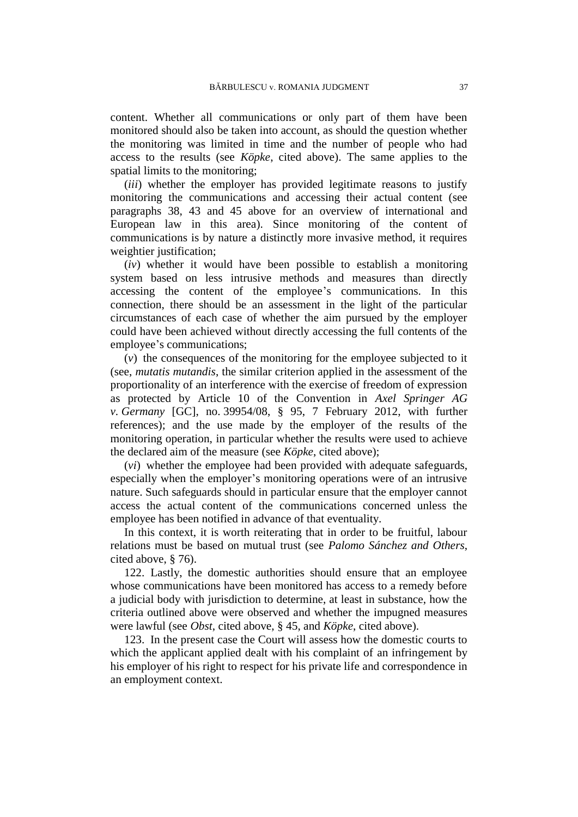content. Whether all communications or only part of them have been monitored should also be taken into account, as should the question whether the monitoring was limited in time and the number of people who had access to the results (see *Köpke*, cited above). The same applies to the spatial limits to the monitoring;

(*iii*) whether the employer has provided legitimate reasons to justify monitoring the communications and accessing their actual content (see paragraphs [38,](#page-12-0) [43](#page-16-0) and [45](#page-17-0) above for an overview of international and European law in this area). Since monitoring of the content of communications is by nature a distinctly more invasive method, it requires weightier justification:

(*iv*) whether it would have been possible to establish a monitoring system based on less intrusive methods and measures than directly accessing the content of the employee's communications. In this connection, there should be an assessment in the light of the particular circumstances of each case of whether the aim pursued by the employer could have been achieved without directly accessing the full contents of the employee's communications;

(*v*) the consequences of the monitoring for the employee subjected to it (see, *mutatis mutandis*, the similar criterion applied in the assessment of the proportionality of an interference with the exercise of freedom of expression as protected by Article 10 of the Convention in *Axel Springer AG v. Germany* [GC], no. 39954/08, § 95, 7 February 2012, with further references); and the use made by the employer of the results of the monitoring operation, in particular whether the results were used to achieve the declared aim of the measure (see *Köpke*, cited above);

(*vi*) whether the employee had been provided with adequate safeguards, especially when the employer's monitoring operations were of an intrusive nature. Such safeguards should in particular ensure that the employer cannot access the actual content of the communications concerned unless the employee has been notified in advance of that eventuality.

In this context, it is worth reiterating that in order to be fruitful, labour relations must be based on mutual trust (see *Palomo Sánchez and Others*, cited above, § 76).

122. Lastly, the domestic authorities should ensure that an employee whose communications have been monitored has access to a remedy before a judicial body with jurisdiction to determine, at least in substance, how the criteria outlined above were observed and whether the impugned measures were lawful (see *Obst*, cited above, § 45, and *Köpke*, cited above).

123. In the present case the Court will assess how the domestic courts to which the applicant applied dealt with his complaint of an infringement by his employer of his right to respect for his private life and correspondence in an employment context.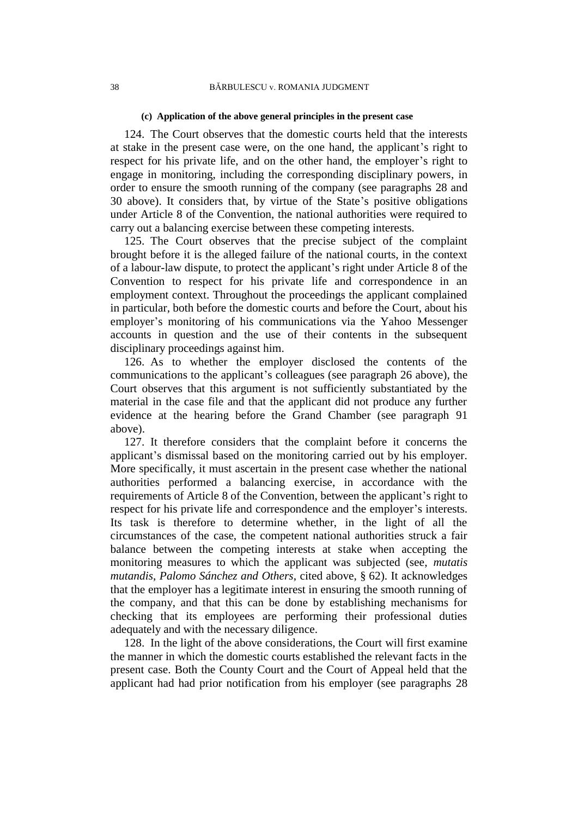#### **(c) Application of the above general principles in the present case**

124. The Court observes that the domestic courts held that the interests at stake in the present case were, on the one hand, the applicant's right to respect for his private life, and on the other hand, the employer's right to engage in monitoring, including the corresponding disciplinary powers, in order to ensure the smooth running of the company (see paragraphs [28](#page-6-0) and [30](#page-7-0) above). It considers that, by virtue of the State's positive obligations under Article 8 of the Convention, the national authorities were required to carry out a balancing exercise between these competing interests.

125. The Court observes that the precise subject of the complaint brought before it is the alleged failure of the national courts, in the context of a labour-law dispute, to protect the applicant's right under Article 8 of the Convention to respect for his private life and correspondence in an employment context. Throughout the proceedings the applicant complained in particular, both before the domestic courts and before the Court, about his employer's monitoring of his communications via the Yahoo Messenger accounts in question and the use of their contents in the subsequent disciplinary proceedings against him.

126. As to whether the employer disclosed the contents of the communications to the applicant's colleagues (see paragraph [26](#page-6-1) above), the Court observes that this argument is not sufficiently substantiated by the material in the case file and that the applicant did not produce any further evidence at the hearing before the Grand Chamber (see paragraph [91](#page-32-0) above).

127. It therefore considers that the complaint before it concerns the applicant's dismissal based on the monitoring carried out by his employer. More specifically, it must ascertain in the present case whether the national authorities performed a balancing exercise, in accordance with the requirements of Article 8 of the Convention, between the applicant's right to respect for his private life and correspondence and the employer's interests. Its task is therefore to determine whether, in the light of all the circumstances of the case, the competent national authorities struck a fair balance between the competing interests at stake when accepting the monitoring measures to which the applicant was subjected (see, *mutatis mutandis*, *Palomo Sánchez and Others*, cited above, § 62). It acknowledges that the employer has a legitimate interest in ensuring the smooth running of the company, and that this can be done by establishing mechanisms for checking that its employees are performing their professional duties adequately and with the necessary diligence.

128. In the light of the above considerations, the Court will first examine the manner in which the domestic courts established the relevant facts in the present case. Both the County Court and the Court of Appeal held that the applicant had had prior notification from his employer (see paragraphs [28](#page-6-0)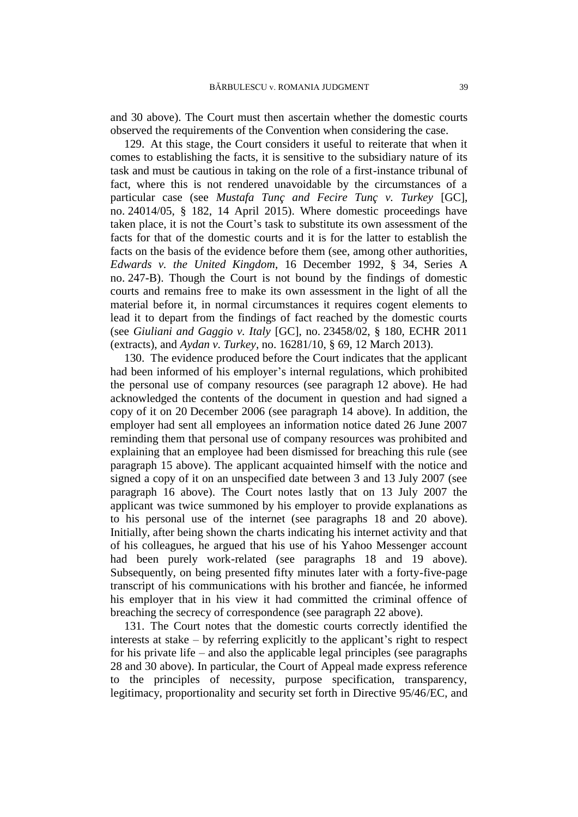and [30](#page-7-0) above). The Court must then ascertain whether the domestic courts observed the requirements of the Convention when considering the case.

129. At this stage, the Court considers it useful to reiterate that when it comes to establishing the facts, it is sensitive to the subsidiary nature of its task and must be cautious in taking on the role of a first-instance tribunal of fact, where this is not rendered unavoidable by the circumstances of a particular case (see *Mustafa Tunç and Fecire Tunç v. Turkey* [GC], no. 24014/05, § 182, 14 April 2015). Where domestic proceedings have taken place, it is not the Court's task to substitute its own assessment of the facts for that of the domestic courts and it is for the latter to establish the facts on the basis of the evidence before them (see, among other authorities, *Edwards v. the United Kingdom*, 16 December 1992, § 34, Series A no. 247-B). Though the Court is not bound by the findings of domestic courts and remains free to make its own assessment in the light of all the material before it, in normal circumstances it requires cogent elements to lead it to depart from the findings of fact reached by the domestic courts (see *Giuliani and Gaggio v. Italy* [GC], no. 23458/02, § 180, ECHR 2011 (extracts), and *Aydan v. Turkey*, no. 16281/10, § 69, 12 March 2013).

130. The evidence produced before the Court indicates that the applicant had been informed of his employer's internal regulations, which prohibited the personal use of company resources (see paragraph [12](#page-4-1) above). He had acknowledged the contents of the document in question and had signed a copy of it on 20 December 2006 (see paragraph [14](#page-4-2) above). In addition, the employer had sent all employees an information notice dated 26 June 2007 reminding them that personal use of company resources was prohibited and explaining that an employee had been dismissed for breaching this rule (see paragraph [15](#page-4-0) above). The applicant acquainted himself with the notice and signed a copy of it on an unspecified date between 3 and 13 July 2007 (see paragraph [16](#page-5-4) above). The Court notes lastly that on 13 July 2007 the applicant was twice summoned by his employer to provide explanations as to his personal use of the internet (see paragraphs [18](#page-5-1) and [20](#page-5-2) above). Initially, after being shown the charts indicating his internet activity and that of his colleagues, he argued that his use of his Yahoo Messenger account had been purely work-related (see paragraphs [18](#page-5-1) and [19](#page-5-5) above). Subsequently, on being presented fifty minutes later with a forty-five-page transcript of his communications with his brother and fiancée, he informed his employer that in his view it had committed the criminal offence of breaching the secrecy of correspondence (see paragraph [22](#page-5-6) above).

131. The Court notes that the domestic courts correctly identified the interests at stake – by referring explicitly to the applicant's right to respect for his private life – and also the applicable legal principles (see paragraphs [28](#page-6-0) and [30](#page-7-0) above). In particular, the Court of Appeal made express reference to the principles of necessity, purpose specification, transparency, legitimacy, proportionality and security set forth in Directive 95/46/EC, and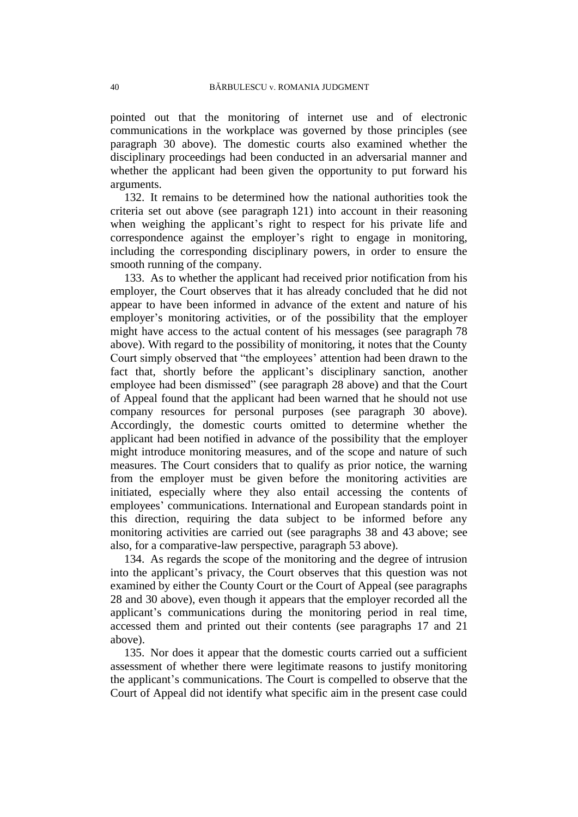pointed out that the monitoring of internet use and of electronic communications in the workplace was governed by those principles (see paragraph [30](#page-7-0) above). The domestic courts also examined whether the disciplinary proceedings had been conducted in an adversarial manner and whether the applicant had been given the opportunity to put forward his arguments.

132. It remains to be determined how the national authorities took the criteria set out above (see paragraph [121\)](#page-37-0) into account in their reasoning when weighing the applicant's right to respect for his private life and correspondence against the employer's right to engage in monitoring, including the corresponding disciplinary powers, in order to ensure the smooth running of the company.

133. As to whether the applicant had received prior notification from his employer, the Court observes that it has already concluded that he did not appear to have been informed in advance of the extent and nature of his employer's monitoring activities, or of the possibility that the employer might have access to the actual content of his messages (see paragraph [78](#page-29-0) above). With regard to the possibility of monitoring, it notes that the County Court simply observed that "the employees' attention had been drawn to the fact that, shortly before the applicant's disciplinary sanction, another employee had been dismissed" (see paragraph [28](#page-6-0) above) and that the Court of Appeal found that the applicant had been warned that he should not use company resources for personal purposes (see paragraph [30](#page-7-0) above). Accordingly, the domestic courts omitted to determine whether the applicant had been notified in advance of the possibility that the employer might introduce monitoring measures, and of the scope and nature of such measures. The Court considers that to qualify as prior notice, the warning from the employer must be given before the monitoring activities are initiated, especially where they also entail accessing the contents of employees' communications. International and European standards point in this direction, requiring the data subject to be informed before any monitoring activities are carried out (see paragraphs [38](#page-12-0) and [43](#page-16-0) above; see also, for a comparative-law perspective, paragraph [53](#page-24-1) above).

134. As regards the scope of the monitoring and the degree of intrusion into the applicant's privacy, the Court observes that this question was not examined by either the County Court or the Court of Appeal (see paragraphs [28](#page-6-0) and [30](#page-7-0) above), even though it appears that the employer recorded all the applicant's communications during the monitoring period in real time, accessed them and printed out their contents (see paragraphs [17](#page-5-0) and [21](#page-5-3) above).

135. Nor does it appear that the domestic courts carried out a sufficient assessment of whether there were legitimate reasons to justify monitoring the applicant's communications. The Court is compelled to observe that the Court of Appeal did not identify what specific aim in the present case could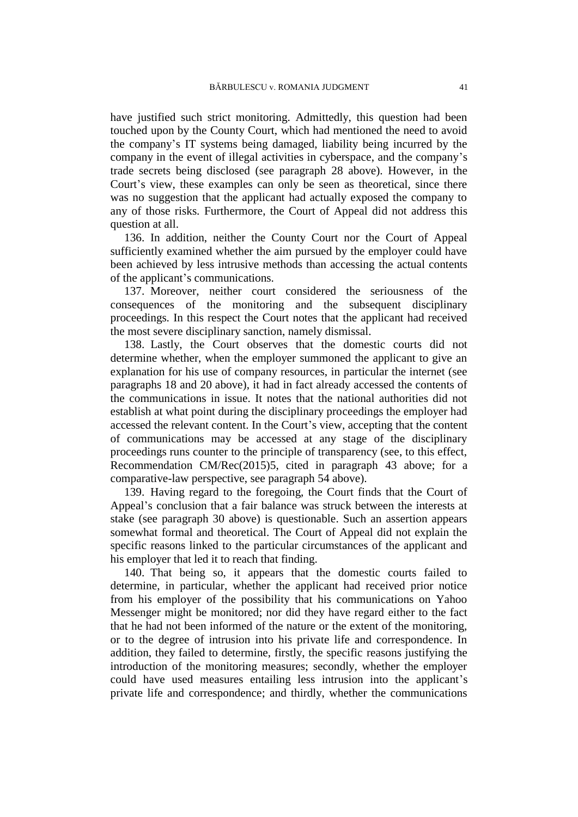have justified such strict monitoring. Admittedly, this question had been touched upon by the County Court, which had mentioned the need to avoid the company's IT systems being damaged, liability being incurred by the company in the event of illegal activities in cyberspace, and the company's trade secrets being disclosed (see paragraph [28](#page-6-0) above). However, in the Court's view, these examples can only be seen as theoretical, since there was no suggestion that the applicant had actually exposed the company to any of those risks. Furthermore, the Court of Appeal did not address this question at all.

136. In addition, neither the County Court nor the Court of Appeal sufficiently examined whether the aim pursued by the employer could have been achieved by less intrusive methods than accessing the actual contents of the applicant's communications.

137. Moreover, neither court considered the seriousness of the consequences of the monitoring and the subsequent disciplinary proceedings. In this respect the Court notes that the applicant had received the most severe disciplinary sanction, namely dismissal.

138. Lastly, the Court observes that the domestic courts did not determine whether, when the employer summoned the applicant to give an explanation for his use of company resources, in particular the internet (see paragraphs [18](#page-5-1) and [20](#page-5-2) above), it had in fact already accessed the contents of the communications in issue. It notes that the national authorities did not establish at what point during the disciplinary proceedings the employer had accessed the relevant content. In the Court's view, accepting that the content of communications may be accessed at any stage of the disciplinary proceedings runs counter to the principle of transparency (see, to this effect, Recommendation CM/Rec(2015)5, cited in paragraph [43](#page-16-0) above; for a comparative-law perspective, see paragraph [54](#page-24-2) above).

139. Having regard to the foregoing, the Court finds that the Court of Appeal's conclusion that a fair balance was struck between the interests at stake (see paragraph [30](#page-7-0) above) is questionable. Such an assertion appears somewhat formal and theoretical. The Court of Appeal did not explain the specific reasons linked to the particular circumstances of the applicant and his employer that led it to reach that finding.

140. That being so, it appears that the domestic courts failed to determine, in particular, whether the applicant had received prior notice from his employer of the possibility that his communications on Yahoo Messenger might be monitored; nor did they have regard either to the fact that he had not been informed of the nature or the extent of the monitoring, or to the degree of intrusion into his private life and correspondence. In addition, they failed to determine, firstly, the specific reasons justifying the introduction of the monitoring measures; secondly, whether the employer could have used measures entailing less intrusion into the applicant's private life and correspondence; and thirdly, whether the communications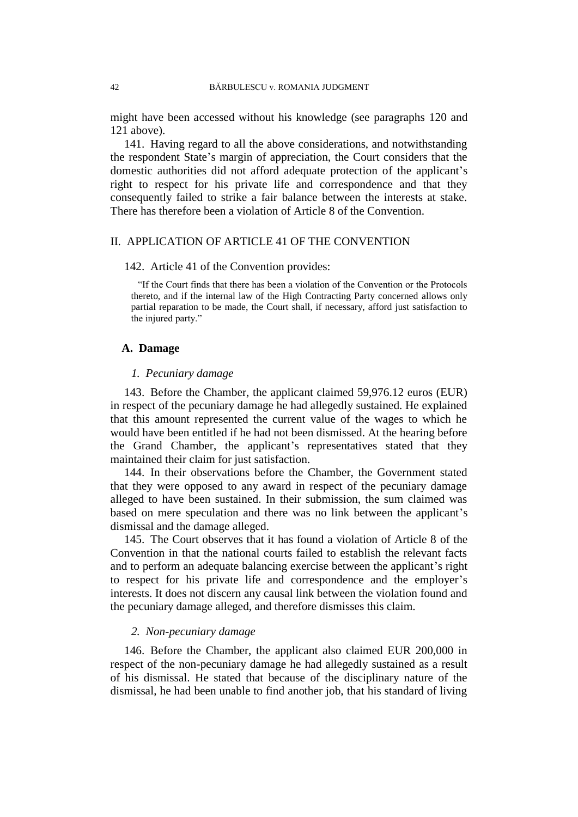might have been accessed without his knowledge (see paragraphs [120](#page-37-1) and [121](#page-37-0) above).

141. Having regard to all the above considerations, and notwithstanding the respondent State's margin of appreciation, the Court considers that the domestic authorities did not afford adequate protection of the applicant's right to respect for his private life and correspondence and that they consequently failed to strike a fair balance between the interests at stake. There has therefore been a violation of Article 8 of the Convention.

## II. APPLICATION OF ARTICLE 41 OF THE CONVENTION

#### 142. Article 41 of the Convention provides:

"If the Court finds that there has been a violation of the Convention or the Protocols thereto, and if the internal law of the High Contracting Party concerned allows only partial reparation to be made, the Court shall, if necessary, afford just satisfaction to the injured party."

## **A. Damage**

#### *1. Pecuniary damage*

143. Before the Chamber, the applicant claimed 59,976.12 euros (EUR) in respect of the pecuniary damage he had allegedly sustained. He explained that this amount represented the current value of the wages to which he would have been entitled if he had not been dismissed. At the hearing before the Grand Chamber, the applicant's representatives stated that they maintained their claim for just satisfaction.

144. In their observations before the Chamber, the Government stated that they were opposed to any award in respect of the pecuniary damage alleged to have been sustained. In their submission, the sum claimed was based on mere speculation and there was no link between the applicant's dismissal and the damage alleged.

145. The Court observes that it has found a violation of Article 8 of the Convention in that the national courts failed to establish the relevant facts and to perform an adequate balancing exercise between the applicant's right to respect for his private life and correspondence and the employer's interests. It does not discern any causal link between the violation found and the pecuniary damage alleged, and therefore dismisses this claim.

## *2. Non-pecuniary damage*

146. Before the Chamber, the applicant also claimed EUR 200,000 in respect of the non-pecuniary damage he had allegedly sustained as a result of his dismissal. He stated that because of the disciplinary nature of the dismissal, he had been unable to find another job, that his standard of living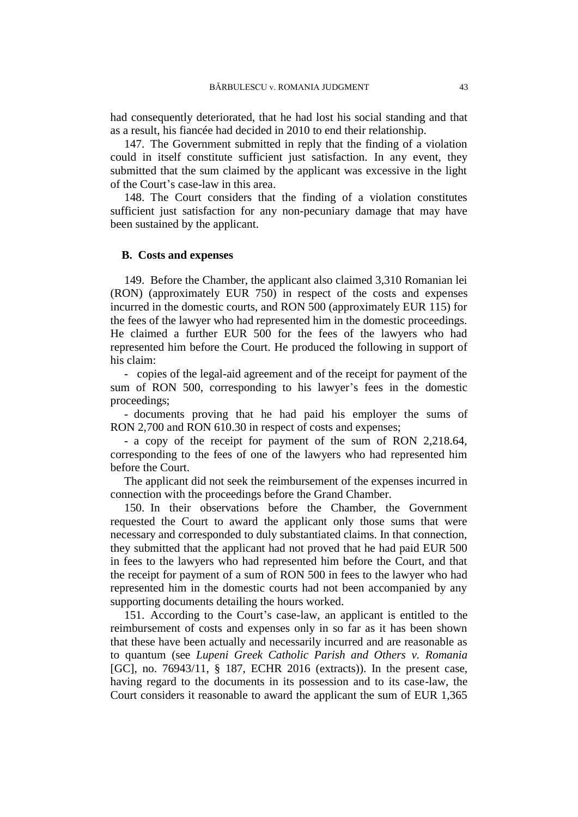had consequently deteriorated, that he had lost his social standing and that as a result, his fiancée had decided in 2010 to end their relationship.

147. The Government submitted in reply that the finding of a violation could in itself constitute sufficient just satisfaction. In any event, they submitted that the sum claimed by the applicant was excessive in the light of the Court's case-law in this area.

148. The Court considers that the finding of a violation constitutes sufficient just satisfaction for any non-pecuniary damage that may have been sustained by the applicant.

#### **B. Costs and expenses**

149. Before the Chamber, the applicant also claimed 3,310 Romanian lei (RON) (approximately EUR 750) in respect of the costs and expenses incurred in the domestic courts, and RON 500 (approximately EUR 115) for the fees of the lawyer who had represented him in the domestic proceedings. He claimed a further EUR 500 for the fees of the lawyers who had represented him before the Court. He produced the following in support of his claim:

- copies of the legal-aid agreement and of the receipt for payment of the sum of RON 500, corresponding to his lawyer's fees in the domestic proceedings;

- documents proving that he had paid his employer the sums of RON 2,700 and RON 610.30 in respect of costs and expenses;

- a copy of the receipt for payment of the sum of RON 2,218.64, corresponding to the fees of one of the lawyers who had represented him before the Court.

The applicant did not seek the reimbursement of the expenses incurred in connection with the proceedings before the Grand Chamber.

150. In their observations before the Chamber, the Government requested the Court to award the applicant only those sums that were necessary and corresponded to duly substantiated claims. In that connection, they submitted that the applicant had not proved that he had paid EUR 500 in fees to the lawyers who had represented him before the Court, and that the receipt for payment of a sum of RON 500 in fees to the lawyer who had represented him in the domestic courts had not been accompanied by any supporting documents detailing the hours worked.

151. According to the Court's case-law, an applicant is entitled to the reimbursement of costs and expenses only in so far as it has been shown that these have been actually and necessarily incurred and are reasonable as to quantum (see *Lupeni Greek Catholic Parish and Others v. Romania* [GC], no. 76943/11, § 187, ECHR 2016 (extracts)). In the present case, having regard to the documents in its possession and to its case-law, the Court considers it reasonable to award the applicant the sum of EUR 1,365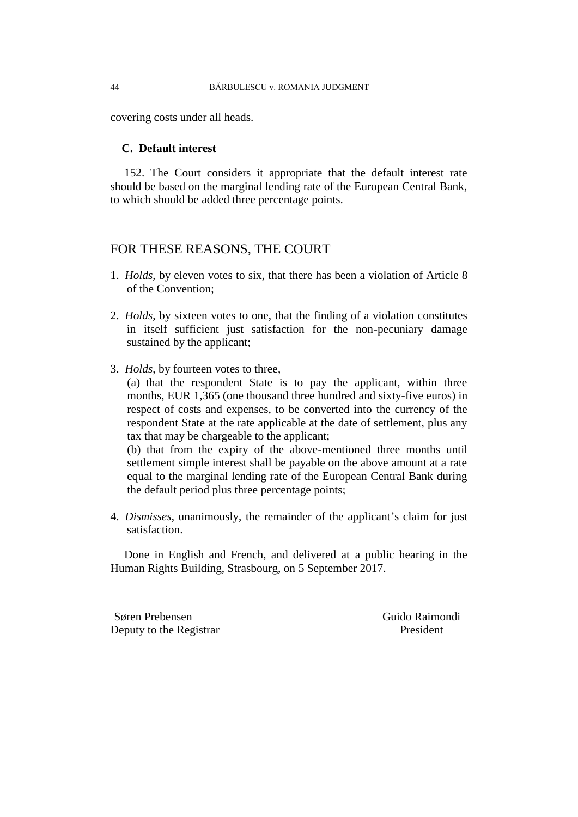covering costs under all heads.

## **C. Default interest**

152. The Court considers it appropriate that the default interest rate should be based on the marginal lending rate of the European Central Bank, to which should be added three percentage points.

## FOR THESE REASONS, THE COURT

- 1. *Holds*, by eleven votes to six, that there has been a violation of Article 8 of the Convention;
- 2. *Holds*, by sixteen votes to one, that the finding of a violation constitutes in itself sufficient just satisfaction for the non-pecuniary damage sustained by the applicant;
- 3. *Holds*, by fourteen votes to three,

(a) that the respondent State is to pay the applicant, within three months, EUR 1,365 (one thousand three hundred and sixty-five euros) in respect of costs and expenses, to be converted into the currency of the respondent State at the rate applicable at the date of settlement, plus any tax that may be chargeable to the applicant;

(b) that from the expiry of the above-mentioned three months until settlement simple interest shall be payable on the above amount at a rate equal to the marginal lending rate of the European Central Bank during the default period plus three percentage points;

4. *Dismisses*, unanimously, the remainder of the applicant's claim for just satisfaction.

Done in English and French, and delivered at a public hearing in the Human Rights Building, Strasbourg, on 5 September 2017.

Søren Prebensen Guido Raimondi Deputy to the Registrar President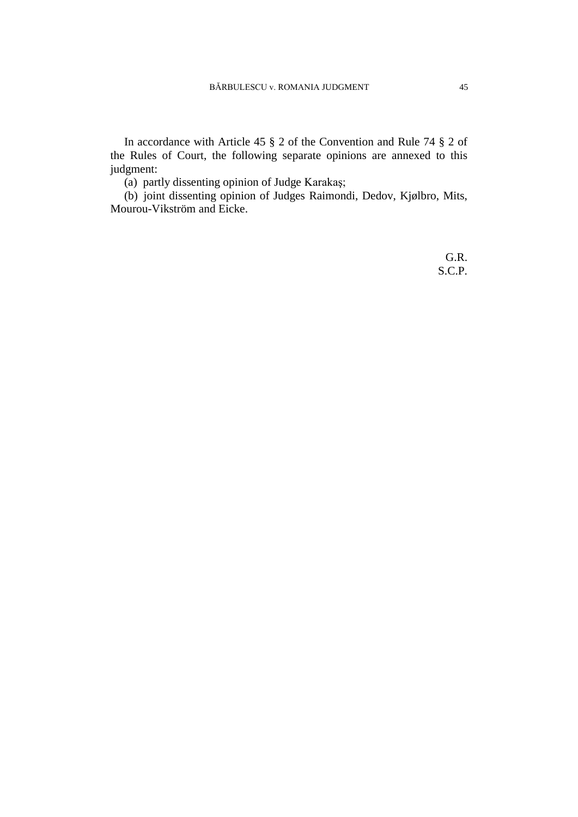In accordance with Article 45 § 2 of the Convention and Rule 74 § 2 of the Rules of Court, the following separate opinions are annexed to this judgment:

(a) partly dissenting opinion of Judge Karakaş;

(b) joint dissenting opinion of Judges Raimondi, Dedov, Kjølbro, Mits, Mourou-Vikström and Eicke.

> G.R. S.C.P.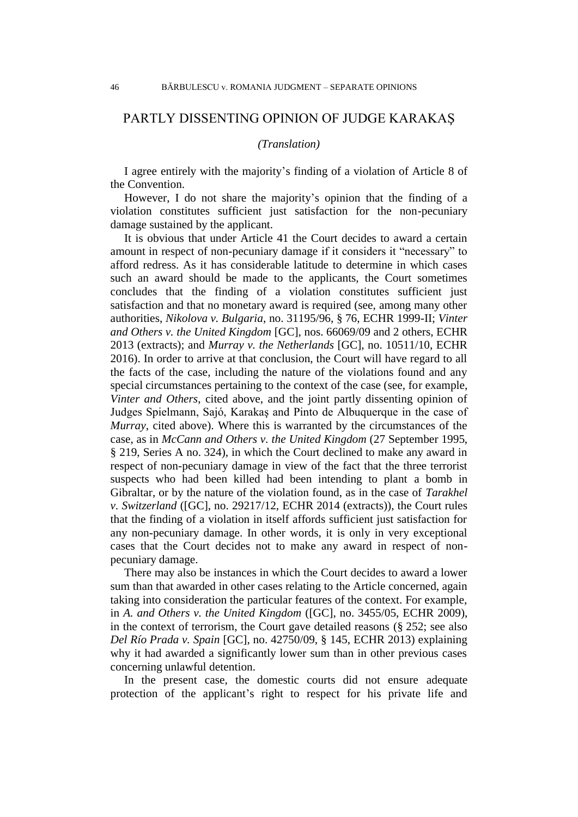## PARTLY DISSENTING OPINION OF JUDGE KARAKAŞ

## *(Translation)*

I agree entirely with the majority's finding of a violation of Article 8 of the Convention.

However, I do not share the majority's opinion that the finding of a violation constitutes sufficient just satisfaction for the non-pecuniary damage sustained by the applicant.

It is obvious that under Article 41 the Court decides to award a certain amount in respect of non-pecuniary damage if it considers it "necessary" to afford redress. As it has considerable latitude to determine in which cases such an award should be made to the applicants, the Court sometimes concludes that the finding of a violation constitutes sufficient just satisfaction and that no monetary award is required (see, among many other authorities, *Nikolova v. Bulgaria*, no. 31195/96, § 76, ECHR 1999-II; *Vinter and Others v. the United Kingdom* [GC], nos. 66069/09 and 2 others, ECHR 2013 (extracts); and *Murray v. the Netherlands* [GC], no. 10511/10, ECHR 2016). In order to arrive at that conclusion, the Court will have regard to all the facts of the case, including the nature of the violations found and any special circumstances pertaining to the context of the case (see, for example, *Vinter and Others*, cited above, and the joint partly dissenting opinion of Judges Spielmann, Sajó, Karakaş and Pinto de Albuquerque in the case of *Murray*, cited above). Where this is warranted by the circumstances of the case, as in *McCann and Others v. the United Kingdom* (27 September 1995, § 219, Series A no. 324), in which the Court declined to make any award in respect of non-pecuniary damage in view of the fact that the three terrorist suspects who had been killed had been intending to plant a bomb in Gibraltar, or by the nature of the violation found, as in the case of *Tarakhel v. Switzerland* ([GC], no. 29217/12, ECHR 2014 (extracts)), the Court rules that the finding of a violation in itself affords sufficient just satisfaction for any non-pecuniary damage. In other words, it is only in very exceptional cases that the Court decides not to make any award in respect of nonpecuniary damage.

There may also be instances in which the Court decides to award a lower sum than that awarded in other cases relating to the Article concerned, again taking into consideration the particular features of the context. For example, in *A. and Others v. the United Kingdom* ([GC], no. 3455/05, ECHR 2009), in the context of terrorism, the Court gave detailed reasons (§ 252; see also *Del Río Prada v. Spain* [GC], no. 42750/09, § 145, ECHR 2013) explaining why it had awarded a significantly lower sum than in other previous cases concerning unlawful detention.

In the present case, the domestic courts did not ensure adequate protection of the applicant's right to respect for his private life and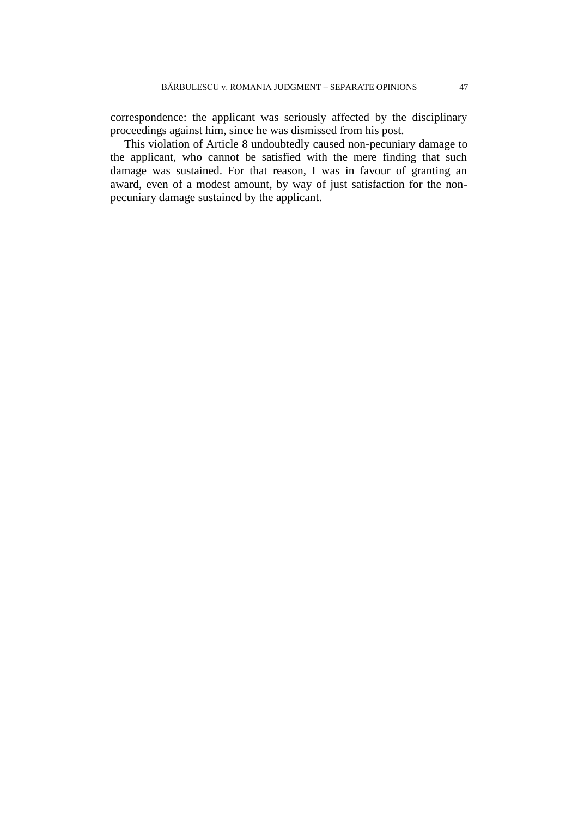correspondence: the applicant was seriously affected by the disciplinary proceedings against him, since he was dismissed from his post.

This violation of Article 8 undoubtedly caused non-pecuniary damage to the applicant, who cannot be satisfied with the mere finding that such damage was sustained. For that reason, I was in favour of granting an award, even of a modest amount, by way of just satisfaction for the nonpecuniary damage sustained by the applicant.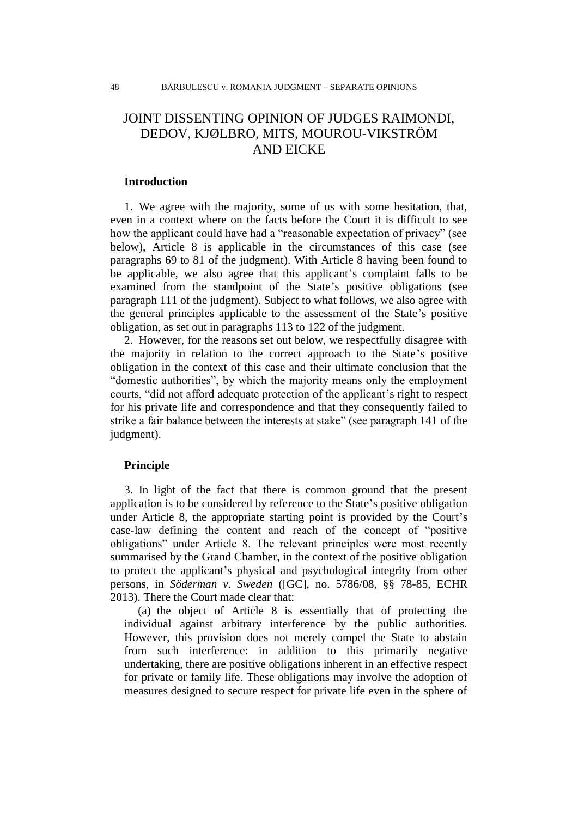# JOINT DISSENTING OPINION OF JUDGES RAIMONDI, DEDOV, KJØLBRO, MITS, MOUROU-VIKSTRÖM AND EICKE

## **Introduction**

1. We agree with the majority, some of us with some hesitation, that, even in a context where on the facts before the Court it is difficult to see how the applicant could have had a "reasonable expectation of privacy" (see below), Article 8 is applicable in the circumstances of this case (see paragraphs 69 to 81 of the judgment). With Article 8 having been found to be applicable, we also agree that this applicant's complaint falls to be examined from the standpoint of the State's positive obligations (see paragraph 111 of the judgment). Subject to what follows, we also agree with the general principles applicable to the assessment of the State's positive obligation, as set out in paragraphs 113 to 122 of the judgment.

2. However, for the reasons set out below, we respectfully disagree with the majority in relation to the correct approach to the State's positive obligation in the context of this case and their ultimate conclusion that the "domestic authorities", by which the majority means only the employment courts, "did not afford adequate protection of the applicant's right to respect for his private life and correspondence and that they consequently failed to strike a fair balance between the interests at stake" (see paragraph 141 of the judgment).

## **Principle**

3. In light of the fact that there is common ground that the present application is to be considered by reference to the State's positive obligation under Article 8, the appropriate starting point is provided by the Court's case-law defining the content and reach of the concept of "positive obligations" under Article 8. The relevant principles were most recently summarised by the Grand Chamber, in the context of the positive obligation to protect the applicant's physical and psychological integrity from other persons, in *Söderman v. Sweden* ([GC], no. 5786/08, §§ 78-85, ECHR 2013). There the Court made clear that:

(a) the object of Article 8 is essentially that of protecting the individual against arbitrary interference by the public authorities. However, this provision does not merely compel the State to abstain from such interference: in addition to this primarily negative undertaking, there are positive obligations inherent in an effective respect for private or family life. These obligations may involve the adoption of measures designed to secure respect for private life even in the sphere of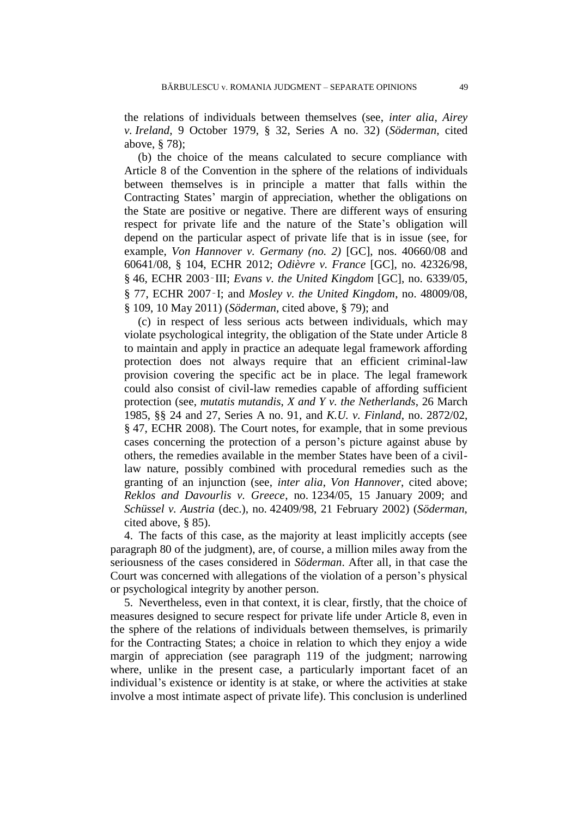the relations of individuals between themselves (see, *inter alia*, *Airey v. Ireland*, 9 October 1979, § 32, Series A no. 32) (*Söderman*, cited above, § 78);

(b) the choice of the means calculated to secure compliance with Article 8 of the Convention in the sphere of the relations of individuals between themselves is in principle a matter that falls within the Contracting States' margin of appreciation, whether the obligations on the State are positive or negative. There are different ways of ensuring respect for private life and the nature of the State's obligation will depend on the particular aspect of private life that is in issue (see, for example, *Von Hannover v. Germany (no. 2)* [GC], nos. 40660/08 and 60641/08, § 104, ECHR 2012; *Odièvre v. France* [GC], no. 42326/98, § 46, ECHR 2003‑III; *Evans v. the United Kingdom* [GC], no. 6339/05, § 77, ECHR 2007‑I; and *Mosley v. the United Kingdom*, no. 48009/08, § 109, 10 May 2011) (*Söderman*, cited above, § 79); and

(c) in respect of less serious acts between individuals, which may violate psychological integrity, the obligation of the State under Article 8 to maintain and apply in practice an adequate legal framework affording protection does not always require that an efficient criminal-law provision covering the specific act be in place. The legal framework could also consist of civil-law remedies capable of affording sufficient protection (see, *mutatis mutandis*, *X and Y v. the Netherlands*, 26 March 1985, §§ 24 and 27, Series A no. 91, and *K.U. v. Finland*, no. 2872/02, § 47, ECHR 2008). The Court notes, for example, that in some previous cases concerning the protection of a person's picture against abuse by others, the remedies available in the member States have been of a civillaw nature, possibly combined with procedural remedies such as the granting of an injunction (see, *inter alia*, *Von Hannover*, cited above; *Reklos and Davourlis v. Greece*, no. 1234/05, 15 January 2009; and *Schüssel v. Austria* (dec.), no. 42409/98, 21 February 2002) (*Söderman*, cited above, § 85).

4. The facts of this case, as the majority at least implicitly accepts (see paragraph 80 of the judgment), are, of course, a million miles away from the seriousness of the cases considered in *Söderman*. After all, in that case the Court was concerned with allegations of the violation of a person's physical or psychological integrity by another person.

5. Nevertheless, even in that context, it is clear, firstly, that the choice of measures designed to secure respect for private life under Article 8, even in the sphere of the relations of individuals between themselves, is primarily for the Contracting States; a choice in relation to which they enjoy a wide margin of appreciation (see paragraph 119 of the judgment; narrowing where, unlike in the present case, a particularly important facet of an individual's existence or identity is at stake, or where the activities at stake involve a most intimate aspect of private life). This conclusion is underlined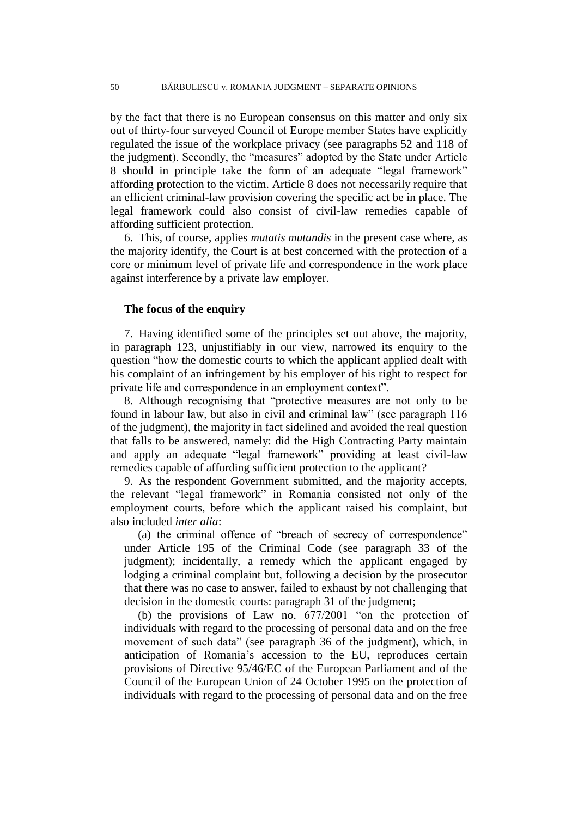by the fact that there is no European consensus on this matter and only six out of thirty-four surveyed Council of Europe member States have explicitly regulated the issue of the workplace privacy (see paragraphs 52 and 118 of the judgment). Secondly, the "measures" adopted by the State under Article 8 should in principle take the form of an adequate "legal framework" affording protection to the victim. Article 8 does not necessarily require that an efficient criminal-law provision covering the specific act be in place. The legal framework could also consist of civil-law remedies capable of affording sufficient protection.

6. This, of course, applies *mutatis mutandis* in the present case where, as the majority identify, the Court is at best concerned with the protection of a core or minimum level of private life and correspondence in the work place against interference by a private law employer.

## **The focus of the enquiry**

7. Having identified some of the principles set out above, the majority, in paragraph 123, unjustifiably in our view, narrowed its enquiry to the question "how the domestic courts to which the applicant applied dealt with his complaint of an infringement by his employer of his right to respect for private life and correspondence in an employment context".

8. Although recognising that "protective measures are not only to be found in labour law, but also in civil and criminal law" (see paragraph 116 of the judgment), the majority in fact sidelined and avoided the real question that falls to be answered, namely: did the High Contracting Party maintain and apply an adequate "legal framework" providing at least civil-law remedies capable of affording sufficient protection to the applicant?

9. As the respondent Government submitted, and the majority accepts, the relevant "legal framework" in Romania consisted not only of the employment courts, before which the applicant raised his complaint, but also included *inter alia*:

(a) the criminal offence of "breach of secrecy of correspondence" under Article 195 of the Criminal Code (see paragraph 33 of the judgment); incidentally, a remedy which the applicant engaged by lodging a criminal complaint but, following a decision by the prosecutor that there was no case to answer, failed to exhaust by not challenging that decision in the domestic courts: paragraph 31 of the judgment;

(b) the provisions of Law no. 677/2001 "on the protection of individuals with regard to the processing of personal data and on the free movement of such data" (see paragraph 36 of the judgment), which, in anticipation of Romania's accession to the EU, reproduces certain provisions of Directive 95/46/EC of the European Parliament and of the Council of the European Union of 24 October 1995 on the protection of individuals with regard to the processing of personal data and on the free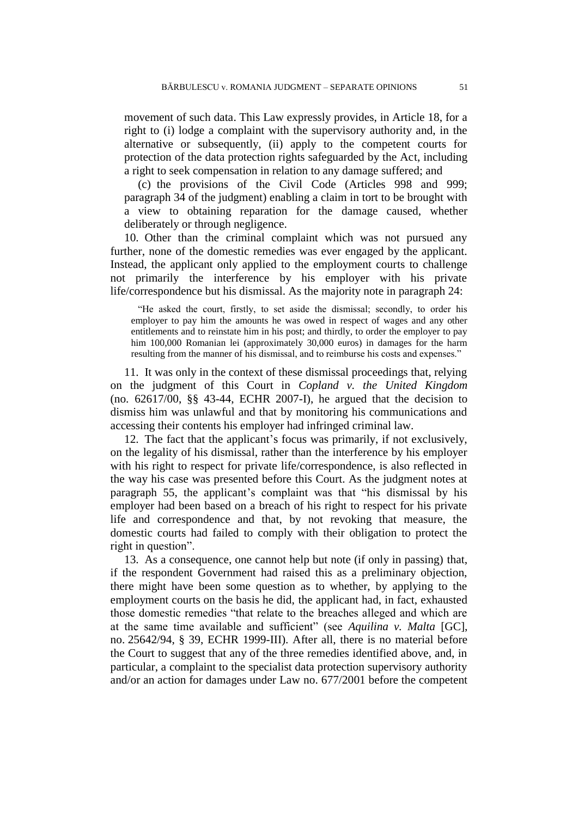movement of such data. This Law expressly provides, in Article 18, for a right to (i) lodge a complaint with the supervisory authority and, in the alternative or subsequently, (ii) apply to the competent courts for protection of the data protection rights safeguarded by the Act, including a right to seek compensation in relation to any damage suffered; and

(c) the provisions of the Civil Code (Articles 998 and 999; paragraph 34 of the judgment) enabling a claim in tort to be brought with a view to obtaining reparation for the damage caused, whether deliberately or through negligence.

10. Other than the criminal complaint which was not pursued any further, none of the domestic remedies was ever engaged by the applicant. Instead, the applicant only applied to the employment courts to challenge not primarily the interference by his employer with his private life/correspondence but his dismissal. As the majority note in paragraph 24:

"He asked the court, firstly, to set aside the dismissal; secondly, to order his employer to pay him the amounts he was owed in respect of wages and any other entitlements and to reinstate him in his post; and thirdly, to order the employer to pay him 100,000 Romanian lei (approximately 30,000 euros) in damages for the harm resulting from the manner of his dismissal, and to reimburse his costs and expenses."

11. It was only in the context of these dismissal proceedings that, relying on the judgment of this Court in *Copland v. the United Kingdom* (no. 62617/00, §§ 43-44, ECHR 2007-I), he argued that the decision to dismiss him was unlawful and that by monitoring his communications and accessing their contents his employer had infringed criminal law.

12. The fact that the applicant's focus was primarily, if not exclusively, on the legality of his dismissal, rather than the interference by his employer with his right to respect for private life/correspondence, is also reflected in the way his case was presented before this Court. As the judgment notes at paragraph 55, the applicant's complaint was that "his dismissal by his employer had been based on a breach of his right to respect for his private life and correspondence and that, by not revoking that measure, the domestic courts had failed to comply with their obligation to protect the right in question".

13. As a consequence, one cannot help but note (if only in passing) that, if the respondent Government had raised this as a preliminary objection, there might have been some question as to whether, by applying to the employment courts on the basis he did, the applicant had, in fact, exhausted those domestic remedies "that relate to the breaches alleged and which are at the same time available and sufficient" (see *Aquilina v. Malta* [GC], no. 25642/94, § 39, ECHR 1999-III). After all, there is no material before the Court to suggest that any of the three remedies identified above, and, in particular, a complaint to the specialist data protection supervisory authority and/or an action for damages under Law no. 677/2001 before the competent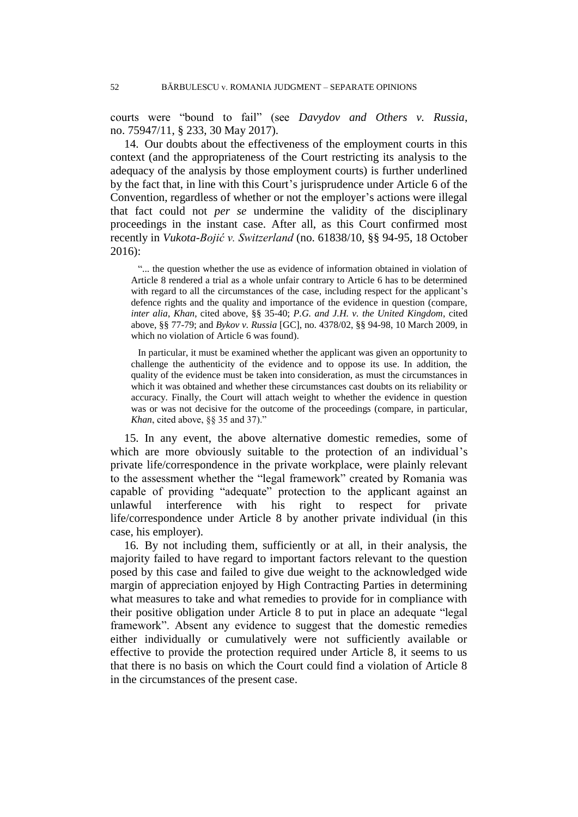courts were "bound to fail" (see *Davydov and Others v. Russia*, no. 75947/11, § 233, 30 May 2017).

14. Our doubts about the effectiveness of the employment courts in this context (and the appropriateness of the Court restricting its analysis to the adequacy of the analysis by those employment courts) is further underlined by the fact that, in line with this Court's jurisprudence under Article 6 of the Convention, regardless of whether or not the employer's actions were illegal that fact could not *per se* undermine the validity of the disciplinary proceedings in the instant case. After all, as this Court confirmed most recently in *Vukota-Bojić v. Switzerland* (no. 61838/10, §§ 94-95, 18 October 2016):

"... the question whether the use as evidence of information obtained in violation of Article 8 rendered a trial as a whole unfair contrary to Article 6 has to be determined with regard to all the circumstances of the case, including respect for the applicant's defence rights and the quality and importance of the evidence in question (compare, *inter alia*, *Khan*, cited above, §§ 35-40; *P.G. and J.H. v. the United Kingdom*, cited above, §§ 77-79; and *Bykov v. Russia* [GC], no. 4378/02, §§ 94-98, 10 March 2009, in which no violation of Article 6 was found).

In particular, it must be examined whether the applicant was given an opportunity to challenge the authenticity of the evidence and to oppose its use. In addition, the quality of the evidence must be taken into consideration, as must the circumstances in which it was obtained and whether these circumstances cast doubts on its reliability or accuracy. Finally, the Court will attach weight to whether the evidence in question was or was not decisive for the outcome of the proceedings (compare, in particular, *Khan*, cited above, §§ 35 and 37)."

15. In any event, the above alternative domestic remedies, some of which are more obviously suitable to the protection of an individual's private life/correspondence in the private workplace, were plainly relevant to the assessment whether the "legal framework" created by Romania was capable of providing "adequate" protection to the applicant against an unlawful interference with his right to respect for private life/correspondence under Article 8 by another private individual (in this case, his employer).

16. By not including them, sufficiently or at all, in their analysis, the majority failed to have regard to important factors relevant to the question posed by this case and failed to give due weight to the acknowledged wide margin of appreciation enjoyed by High Contracting Parties in determining what measures to take and what remedies to provide for in compliance with their positive obligation under Article 8 to put in place an adequate "legal framework". Absent any evidence to suggest that the domestic remedies either individually or cumulatively were not sufficiently available or effective to provide the protection required under Article 8, it seems to us that there is no basis on which the Court could find a violation of Article 8 in the circumstances of the present case.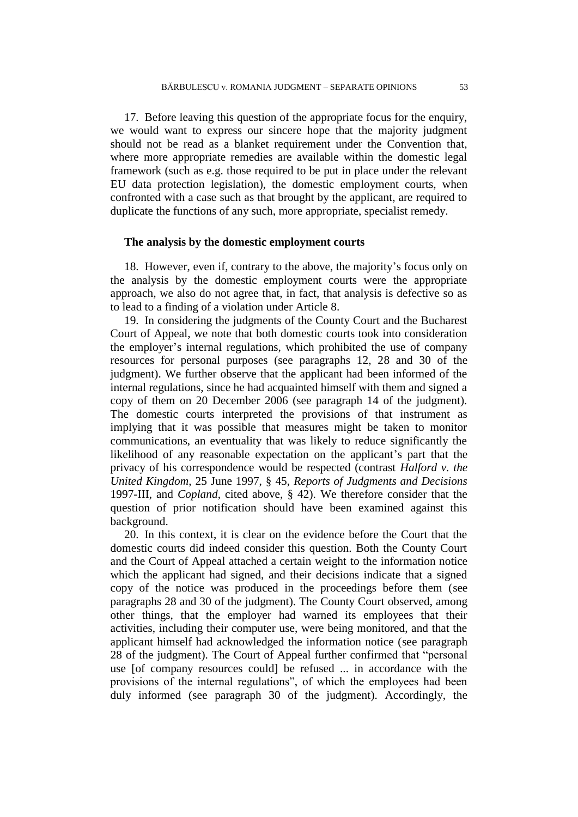17. Before leaving this question of the appropriate focus for the enquiry, we would want to express our sincere hope that the majority judgment should not be read as a blanket requirement under the Convention that, where more appropriate remedies are available within the domestic legal framework (such as e.g. those required to be put in place under the relevant EU data protection legislation), the domestic employment courts, when confronted with a case such as that brought by the applicant, are required to duplicate the functions of any such, more appropriate, specialist remedy.

## **The analysis by the domestic employment courts**

18. However, even if, contrary to the above, the majority's focus only on the analysis by the domestic employment courts were the appropriate approach, we also do not agree that, in fact, that analysis is defective so as to lead to a finding of a violation under Article 8.

19. In considering the judgments of the County Court and the Bucharest Court of Appeal, we note that both domestic courts took into consideration the employer's internal regulations, which prohibited the use of company resources for personal purposes (see paragraphs 12, 28 and 30 of the judgment). We further observe that the applicant had been informed of the internal regulations, since he had acquainted himself with them and signed a copy of them on 20 December 2006 (see paragraph 14 of the judgment). The domestic courts interpreted the provisions of that instrument as implying that it was possible that measures might be taken to monitor communications, an eventuality that was likely to reduce significantly the likelihood of any reasonable expectation on the applicant's part that the privacy of his correspondence would be respected (contrast *Halford v. the United Kingdom*, 25 June 1997, § 45, *Reports of Judgments and Decisions* 1997-III, and *Copland*, cited above, § 42). We therefore consider that the question of prior notification should have been examined against this background.

20. In this context, it is clear on the evidence before the Court that the domestic courts did indeed consider this question. Both the County Court and the Court of Appeal attached a certain weight to the information notice which the applicant had signed, and their decisions indicate that a signed copy of the notice was produced in the proceedings before them (see paragraphs 28 and 30 of the judgment). The County Court observed, among other things, that the employer had warned its employees that their activities, including their computer use, were being monitored, and that the applicant himself had acknowledged the information notice (see paragraph 28 of the judgment). The Court of Appeal further confirmed that "personal use [of company resources could] be refused ... in accordance with the provisions of the internal regulations", of which the employees had been duly informed (see paragraph 30 of the judgment). Accordingly, the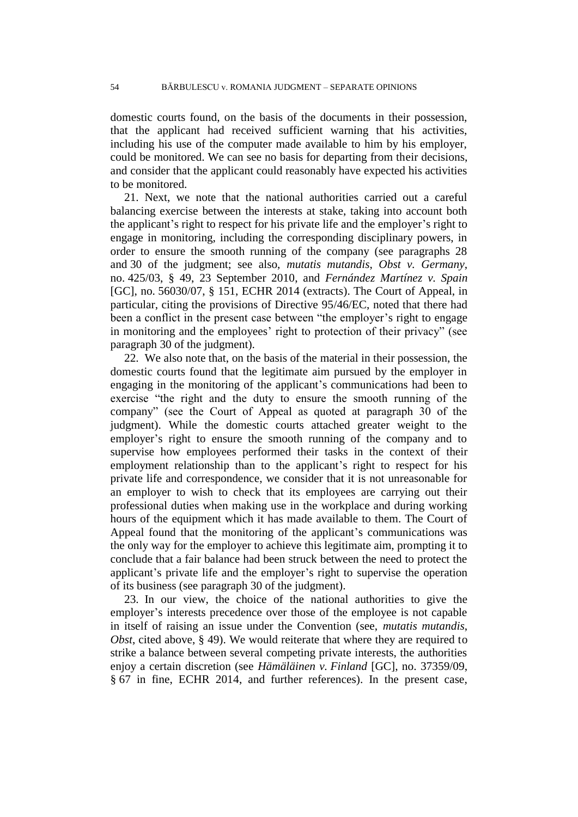domestic courts found, on the basis of the documents in their possession, that the applicant had received sufficient warning that his activities, including his use of the computer made available to him by his employer, could be monitored. We can see no basis for departing from their decisions, and consider that the applicant could reasonably have expected his activities to be monitored.

21. Next, we note that the national authorities carried out a careful balancing exercise between the interests at stake, taking into account both the applicant's right to respect for his private life and the employer's right to engage in monitoring, including the corresponding disciplinary powers, in order to ensure the smooth running of the company (see paragraphs 28 and 30 of the judgment; see also, *mutatis mutandis*, *Obst v. Germany*, no. 425/03, § 49, 23 September 2010, and *Fernández Martínez v. Spain*  [GC], no. 56030/07, § 151, ECHR 2014 (extracts). The Court of Appeal, in particular, citing the provisions of Directive 95/46/EC, noted that there had been a conflict in the present case between "the employer's right to engage in monitoring and the employees' right to protection of their privacy" (see paragraph 30 of the judgment).

22. We also note that, on the basis of the material in their possession, the domestic courts found that the legitimate aim pursued by the employer in engaging in the monitoring of the applicant's communications had been to exercise "the right and the duty to ensure the smooth running of the company" (see the Court of Appeal as quoted at paragraph 30 of the judgment). While the domestic courts attached greater weight to the employer's right to ensure the smooth running of the company and to supervise how employees performed their tasks in the context of their employment relationship than to the applicant's right to respect for his private life and correspondence, we consider that it is not unreasonable for an employer to wish to check that its employees are carrying out their professional duties when making use in the workplace and during working hours of the equipment which it has made available to them. The Court of Appeal found that the monitoring of the applicant's communications was the only way for the employer to achieve this legitimate aim, prompting it to conclude that a fair balance had been struck between the need to protect the applicant's private life and the employer's right to supervise the operation of its business (see paragraph 30 of the judgment).

23. In our view, the choice of the national authorities to give the employer's interests precedence over those of the employee is not capable in itself of raising an issue under the Convention (see, *mutatis mutandis*, *Obst*, cited above, § 49). We would reiterate that where they are required to strike a balance between several competing private interests, the authorities enjoy a certain discretion (see *Hämäläinen v. Finland* [GC], no. 37359/09, § 67 in fine, ECHR 2014, and further references). In the present case,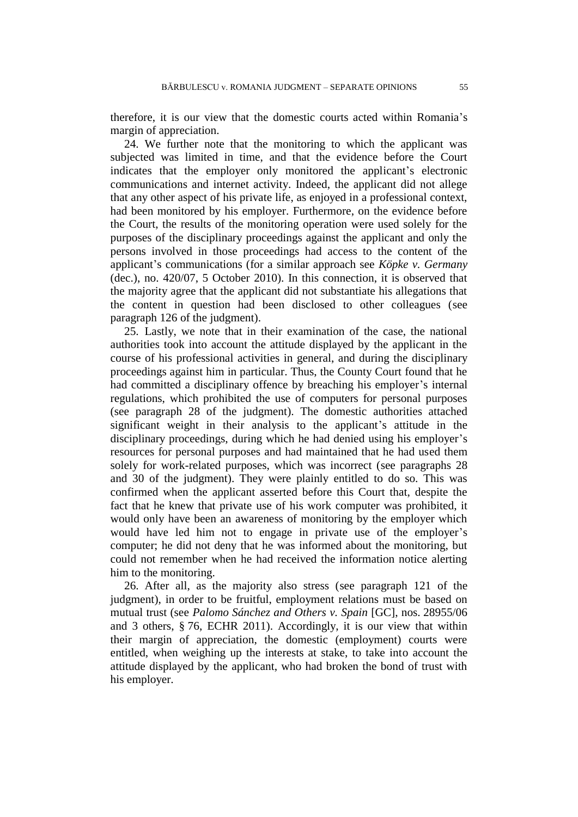therefore, it is our view that the domestic courts acted within Romania's margin of appreciation.

24. We further note that the monitoring to which the applicant was subjected was limited in time, and that the evidence before the Court indicates that the employer only monitored the applicant's electronic communications and internet activity. Indeed, the applicant did not allege that any other aspect of his private life, as enjoyed in a professional context, had been monitored by his employer. Furthermore, on the evidence before the Court, the results of the monitoring operation were used solely for the purposes of the disciplinary proceedings against the applicant and only the persons involved in those proceedings had access to the content of the applicant's communications (for a similar approach see *Köpke v. Germany* (dec.), no. 420/07, 5 October 2010). In this connection, it is observed that the majority agree that the applicant did not substantiate his allegations that the content in question had been disclosed to other colleagues (see paragraph 126 of the judgment).

25. Lastly, we note that in their examination of the case, the national authorities took into account the attitude displayed by the applicant in the course of his professional activities in general, and during the disciplinary proceedings against him in particular. Thus, the County Court found that he had committed a disciplinary offence by breaching his employer's internal regulations, which prohibited the use of computers for personal purposes (see paragraph 28 of the judgment). The domestic authorities attached significant weight in their analysis to the applicant's attitude in the disciplinary proceedings, during which he had denied using his employer's resources for personal purposes and had maintained that he had used them solely for work-related purposes, which was incorrect (see paragraphs 28 and 30 of the judgment). They were plainly entitled to do so. This was confirmed when the applicant asserted before this Court that, despite the fact that he knew that private use of his work computer was prohibited, it would only have been an awareness of monitoring by the employer which would have led him not to engage in private use of the employer's computer; he did not deny that he was informed about the monitoring, but could not remember when he had received the information notice alerting him to the monitoring.

26. After all, as the majority also stress (see paragraph 121 of the judgment), in order to be fruitful, employment relations must be based on mutual trust (see *Palomo Sánchez and Others v. Spain* [GC], nos. 28955/06 and 3 others, § 76, ECHR 2011). Accordingly, it is our view that within their margin of appreciation, the domestic (employment) courts were entitled, when weighing up the interests at stake, to take into account the attitude displayed by the applicant, who had broken the bond of trust with his employer.